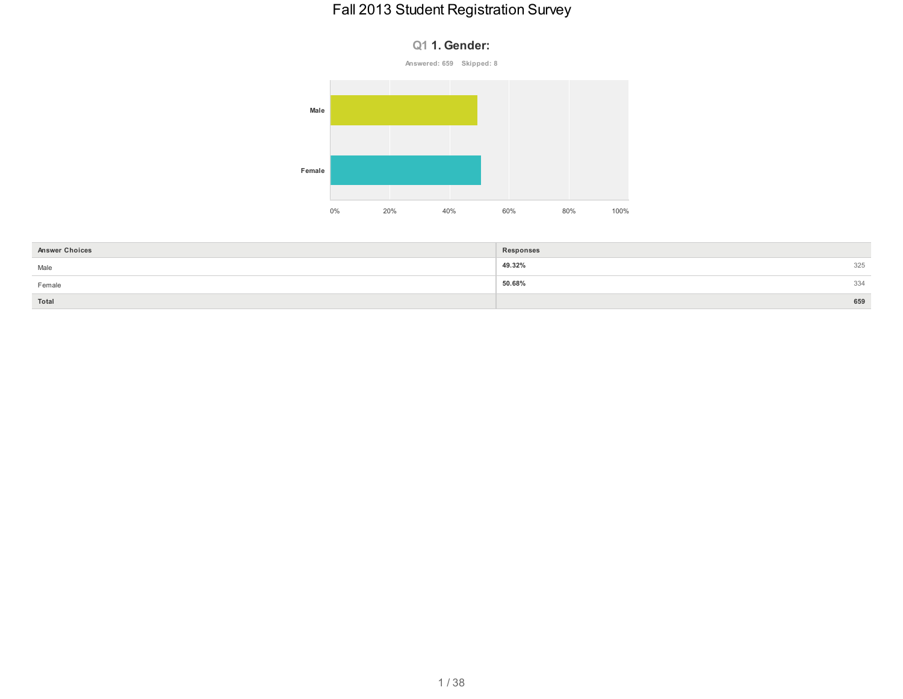#### **Q1 1. Gender:**





| <b>Answer Choices</b> | Responses     |
|-----------------------|---------------|
| Male                  | 49.32%<br>325 |
| Female                | 50.68%<br>334 |
| Total                 | 659           |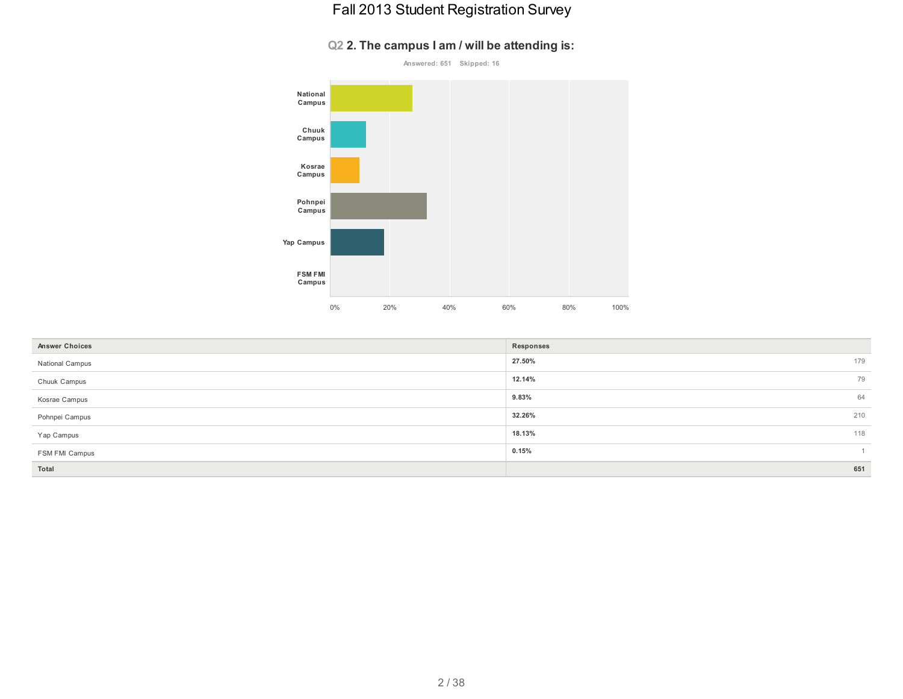#### **Q2 2. The campus I am / will be attending is:**



| <b>Answer Choices</b> | Responses     |
|-----------------------|---------------|
| National Campus       | 179<br>27.50% |
| Chuuk Campus          | 79<br>12.14%  |
| Kosrae Campus         | 9.83%<br>64   |
| Pohnpei Campus        | 210<br>32.26% |
| Yap Campus            | 118<br>18.13% |
| FSM FMI Campus        | 0.15%         |
| Total                 | 651           |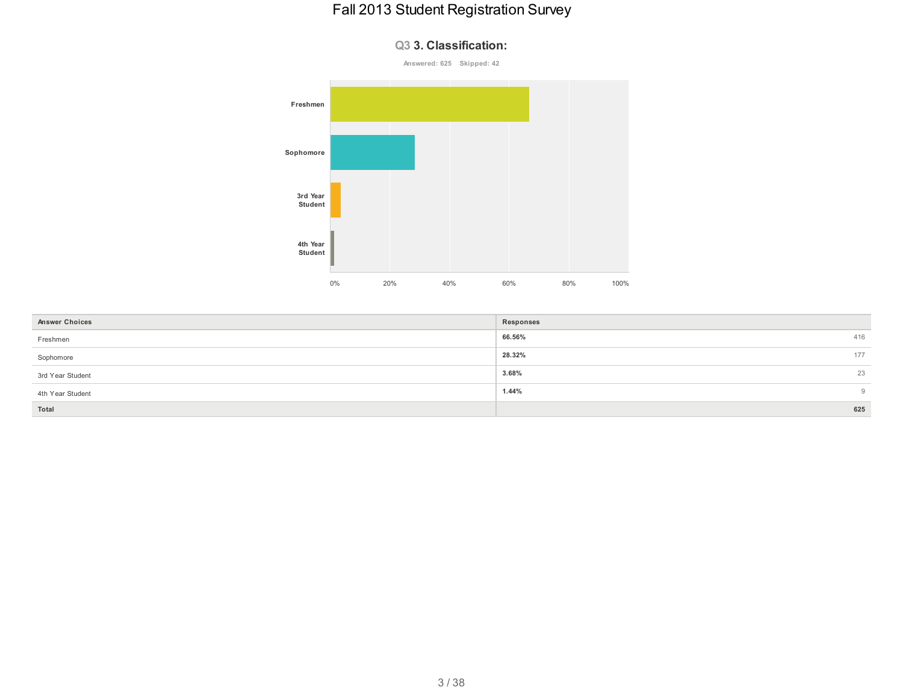**Q3 3. Classification:**

# **Answered: 625 Skipped: 42 Freshmen Sophomore 3rd Year Student 4th Year Student** 0% 20% 40% 60% 80% 100%

| <b>Answer Choices</b> | Responses |     |
|-----------------------|-----------|-----|
| Freshmen              | 66.56%    | 416 |
| Sophomore             | 28.32%    | 177 |
| 3rd Year Student      | 3.68%     | 23  |
| 4th Year Student      | 1.44%     | 9   |
| Total                 |           | 625 |

#### 3 / 38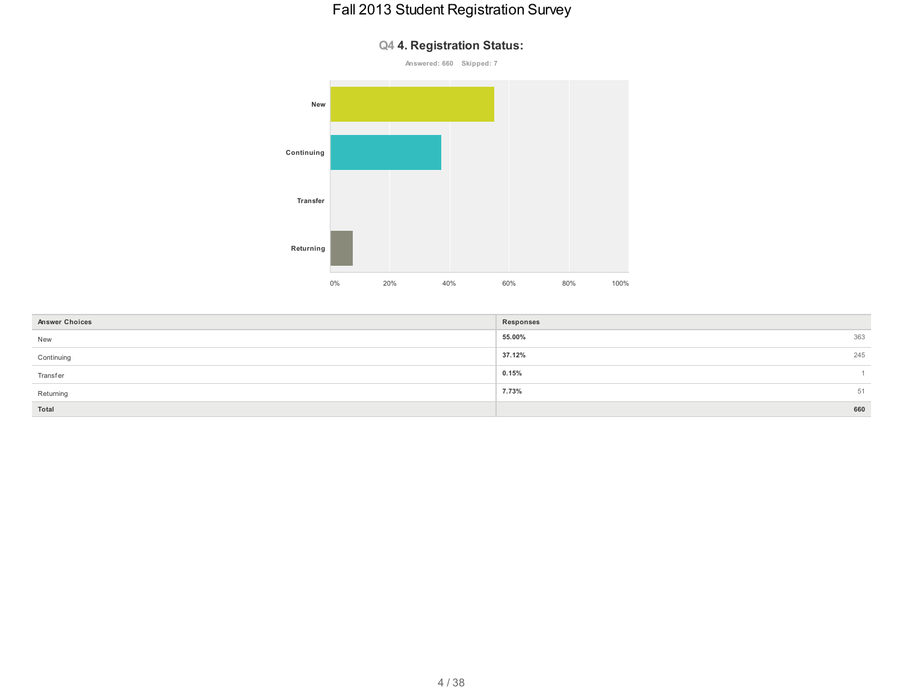

| Q4 4. Registration Status: |  |  |
|----------------------------|--|--|
|----------------------------|--|--|

| <b>Answer Choices</b> | Responses     |
|-----------------------|---------------|
| New                   | 55.00%<br>363 |
| Continuing            | 37.12%<br>245 |
| <b>Transfer</b>       | 0.15%         |
| Returning             | 7.73%<br>51   |
| Total                 | 660           |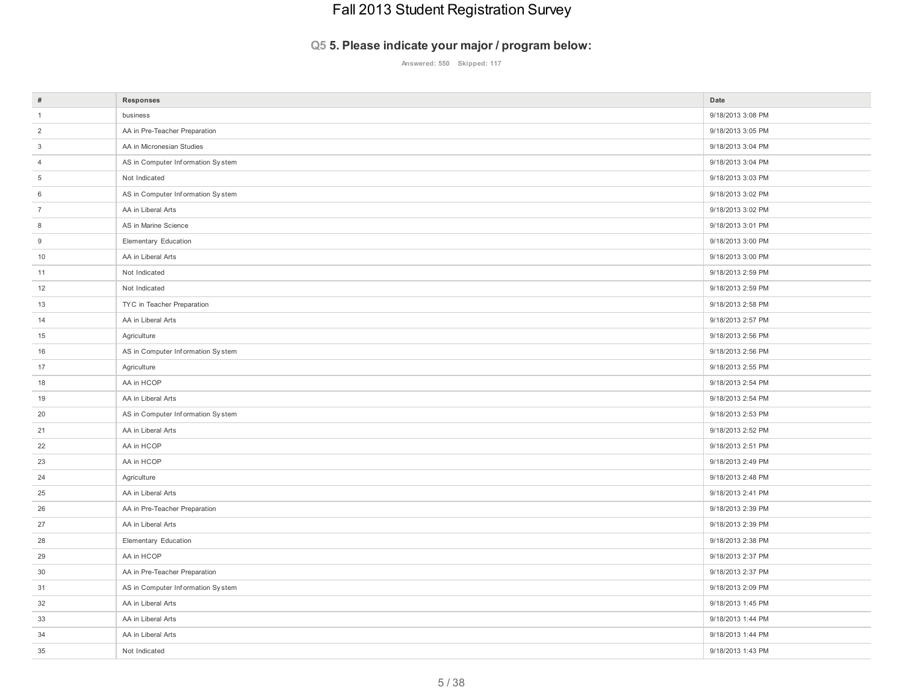#### **Q5 5. Please indicate your major / program below:**

**Answered: 550 Skipped: 117**

| $\#$            | Responses                         | Date              |
|-----------------|-----------------------------------|-------------------|
| $\overline{1}$  | business                          | 9/18/2013 3:08 PM |
| $\overline{2}$  | AA in Pre-Teacher Preparation     | 9/18/2013 3:05 PM |
| $\mathbf{3}$    | AA in Micronesian Studies         | 9/18/2013 3:04 PM |
| $\overline{4}$  | AS in Computer Information System | 9/18/2013 3:04 PM |
| $5\phantom{.0}$ | Not Indicated                     | 9/18/2013 3:03 PM |
| 6               | AS in Computer Information System | 9/18/2013 3:02 PM |
| $\overline{7}$  | AA in Liberal Arts                | 9/18/2013 3:02 PM |
| 8               | AS in Marine Science              | 9/18/2013 3:01 PM |
| $9\,$           | Elementary Education              | 9/18/2013 3:00 PM |
| 10              | AA in Liberal Arts                | 9/18/2013 3:00 PM |
| 11              | Not Indicated                     | 9/18/2013 2:59 PM |
| 12              | Not Indicated                     | 9/18/2013 2:59 PM |
| 13              | TYC in Teacher Preparation        | 9/18/2013 2:58 PM |
| 14              | AA in Liberal Arts                | 9/18/2013 2:57 PM |
| 15              | Agriculture                       | 9/18/2013 2:56 PM |
| 16              | AS in Computer Information System | 9/18/2013 2:56 PM |
| 17              | Agriculture                       | 9/18/2013 2:55 PM |
| 18              | AA in HCOP                        | 9/18/2013 2:54 PM |
| 19              | AA in Liberal Arts                | 9/18/2013 2:54 PM |
| 20              | AS in Computer Information System | 9/18/2013 2:53 PM |
| 21              | AA in Liberal Arts                | 9/18/2013 2:52 PM |
| 22              | AA in HCOP                        | 9/18/2013 2:51 PM |
| 23              | AA in HCOP                        | 9/18/2013 2:49 PM |
| 24              | Agriculture                       | 9/18/2013 2:48 PM |
| 25              | AA in Liberal Arts                | 9/18/2013 2:41 PM |
| 26              | AA in Pre-Teacher Preparation     | 9/18/2013 2:39 PM |
| 27              | AA in Liberal Arts                | 9/18/2013 2:39 PM |
| 28              | Elementary Education              | 9/18/2013 2:38 PM |
| 29              | AA in HCOP                        | 9/18/2013 2:37 PM |
| 30              | AA in Pre-Teacher Preparation     | 9/18/2013 2:37 PM |
| 31              | AS in Computer Information System | 9/18/2013 2:09 PM |
| 32              | AA in Liberal Arts                | 9/18/2013 1:45 PM |
| 33              | AA in Liberal Arts                | 9/18/2013 1:44 PM |
| 34              | AA in Liberal Arts                | 9/18/2013 1:44 PM |
| 35              | Not Indicated                     | 9/18/2013 1:43 PM |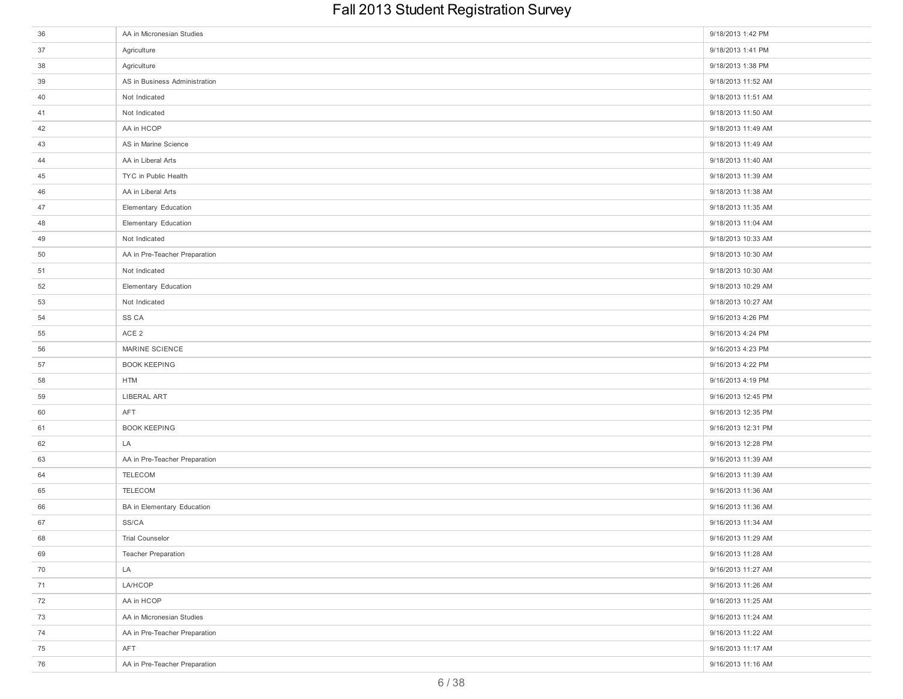| 36 | AA in Micronesian Studies     | 9/18/2013 1:42 PM  |
|----|-------------------------------|--------------------|
| 37 | Agriculture                   | 9/18/2013 1:41 PM  |
| 38 | Agriculture                   | 9/18/2013 1:38 PM  |
| 39 | AS in Business Administration | 9/18/2013 11:52 AM |
| 40 | Not Indicated                 | 9/18/2013 11:51 AM |
| 41 | Not Indicated                 | 9/18/2013 11:50 AM |
| 42 | AA in HCOP                    | 9/18/2013 11:49 AM |
| 43 | AS in Marine Science          | 9/18/2013 11:49 AM |
| 44 | AA in Liberal Arts            | 9/18/2013 11:40 AM |
| 45 | TYC in Public Health          | 9/18/2013 11:39 AM |
| 46 | AA in Liberal Arts            | 9/18/2013 11:38 AM |
| 47 | Elementary Education          | 9/18/2013 11:35 AM |
| 48 | Elementary Education          | 9/18/2013 11:04 AM |
| 49 | Not Indicated                 | 9/18/2013 10:33 AM |
| 50 | AA in Pre-Teacher Preparation | 9/18/2013 10:30 AM |
| 51 | Not Indicated                 | 9/18/2013 10:30 AM |
| 52 | Elementary Education          | 9/18/2013 10:29 AM |
| 53 | Not Indicated                 | 9/18/2013 10:27 AM |
| 54 | SS CA                         | 9/16/2013 4:26 PM  |
| 55 | ACE <sub>2</sub>              | 9/16/2013 4:24 PM  |
| 56 | MARINE SCIENCE                | 9/16/2013 4:23 PM  |
| 57 | <b>BOOK KEEPING</b>           | 9/16/2013 4:22 PM  |
| 58 | <b>HTM</b>                    | 9/16/2013 4:19 PM  |
| 59 | LIBERAL ART                   | 9/16/2013 12:45 PM |
| 60 | AFT                           | 9/16/2013 12:35 PM |
| 61 | <b>BOOK KEEPING</b>           | 9/16/2013 12:31 PM |
| 62 | LA                            | 9/16/2013 12:28 PM |
| 63 | AA in Pre-Teacher Preparation | 9/16/2013 11:39 AM |
| 64 | TELECOM                       | 9/16/2013 11:39 AM |
| 65 | TELECOM                       | 9/16/2013 11:36 AM |
| 66 | BA in Elementary Education    | 9/16/2013 11:36 AM |
| 67 | SS/CA                         | 9/16/2013 11:34 AM |
| 68 | Trial Counselor               | 9/16/2013 11:29 AM |
| 69 | <b>Teacher Preparation</b>    | 9/16/2013 11:28 AM |
| 70 | LA                            | 9/16/2013 11:27 AM |
| 71 | LA/HCOP                       | 9/16/2013 11:26 AM |
| 72 | AA in HCOP                    | 9/16/2013 11:25 AM |
| 73 | AA in Micronesian Studies     | 9/16/2013 11:24 AM |
| 74 | AA in Pre-Teacher Preparation | 9/16/2013 11:22 AM |
| 75 | AFT                           | 9/16/2013 11:17 AM |
| 76 | AA in Pre-Teacher Preparation | 9/16/2013 11:16 AM |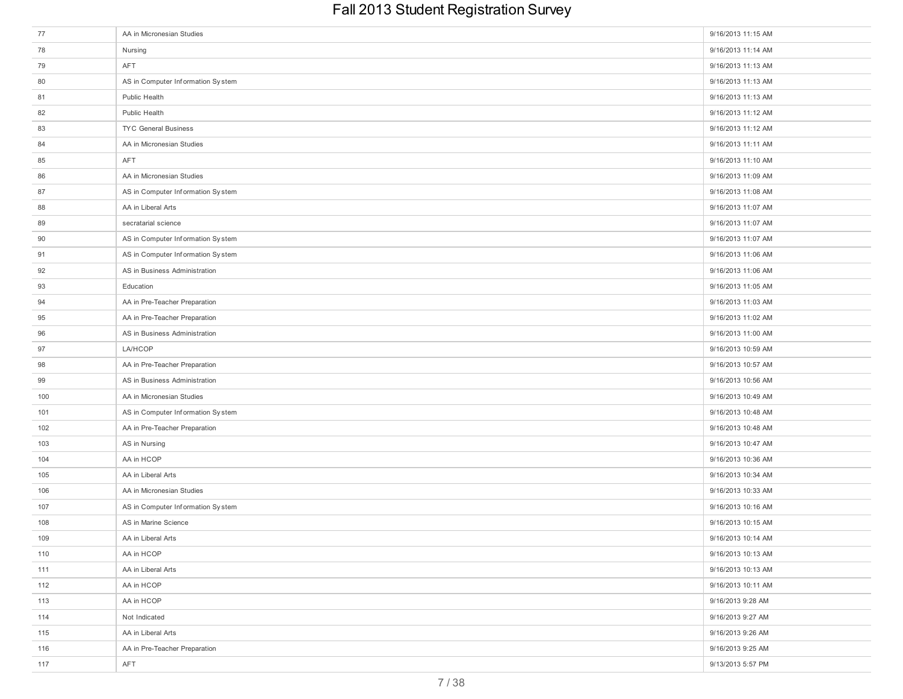| 77  | AA in Micronesian Studies         | 9/16/2013 11:15 AM |
|-----|-----------------------------------|--------------------|
| 78  | Nursing                           | 9/16/2013 11:14 AM |
| 79  | AFT                               | 9/16/2013 11:13 AM |
| 80  | AS in Computer Information System | 9/16/2013 11:13 AM |
| 81  | Public Health                     | 9/16/2013 11:13 AM |
| 82  | Public Health                     | 9/16/2013 11:12 AM |
| 83  | TYC General Business              | 9/16/2013 11:12 AM |
| 84  | AA in Micronesian Studies         | 9/16/2013 11:11 AM |
| 85  | <b>AFT</b>                        | 9/16/2013 11:10 AM |
| 86  | AA in Micronesian Studies         | 9/16/2013 11:09 AM |
| 87  | AS in Computer Information System | 9/16/2013 11:08 AM |
| 88  | AA in Liberal Arts                | 9/16/2013 11:07 AM |
| 89  | secratarial science               | 9/16/2013 11:07 AM |
| 90  | AS in Computer Information System | 9/16/2013 11:07 AM |
| 91  | AS in Computer Information System | 9/16/2013 11:06 AM |
| 92  | AS in Business Administration     | 9/16/2013 11:06 AM |
| 93  | Education                         | 9/16/2013 11:05 AM |
| 94  | AA in Pre-Teacher Preparation     | 9/16/2013 11:03 AM |
| 95  | AA in Pre-Teacher Preparation     | 9/16/2013 11:02 AM |
| 96  | AS in Business Administration     | 9/16/2013 11:00 AM |
| 97  | LA/HCOP                           | 9/16/2013 10:59 AM |
| 98  | AA in Pre-Teacher Preparation     | 9/16/2013 10:57 AM |
| 99  | AS in Business Administration     | 9/16/2013 10:56 AM |
| 100 | AA in Micronesian Studies         | 9/16/2013 10:49 AM |
| 101 | AS in Computer Information System | 9/16/2013 10:48 AM |
| 102 | AA in Pre-Teacher Preparation     | 9/16/2013 10:48 AM |
| 103 | AS in Nursing                     | 9/16/2013 10:47 AM |
| 104 | AA in HCOP                        | 9/16/2013 10:36 AM |
| 105 | AA in Liberal Arts                | 9/16/2013 10:34 AM |
| 106 | AA in Micronesian Studies         | 9/16/2013 10:33 AM |
| 107 | AS in Computer Information System | 9/16/2013 10:16 AM |
| 108 | AS in Marine Science              | 9/16/2013 10:15 AM |
| 109 | AA in Liberal Arts                | 9/16/2013 10:14 AM |
| 110 | AA in HCOP                        | 9/16/2013 10:13 AM |
| 111 | AA in Liberal Arts                | 9/16/2013 10:13 AM |
| 112 | AA in HCOP                        | 9/16/2013 10:11 AM |
| 113 | AA in HCOP                        | 9/16/2013 9:28 AM  |
| 114 | Not Indicated                     | 9/16/2013 9:27 AM  |
| 115 | AA in Liberal Arts                | 9/16/2013 9:26 AM  |
| 116 | AA in Pre-Teacher Preparation     | 9/16/2013 9:25 AM  |
| 117 | AFT                               | 9/13/2013 5:57 PM  |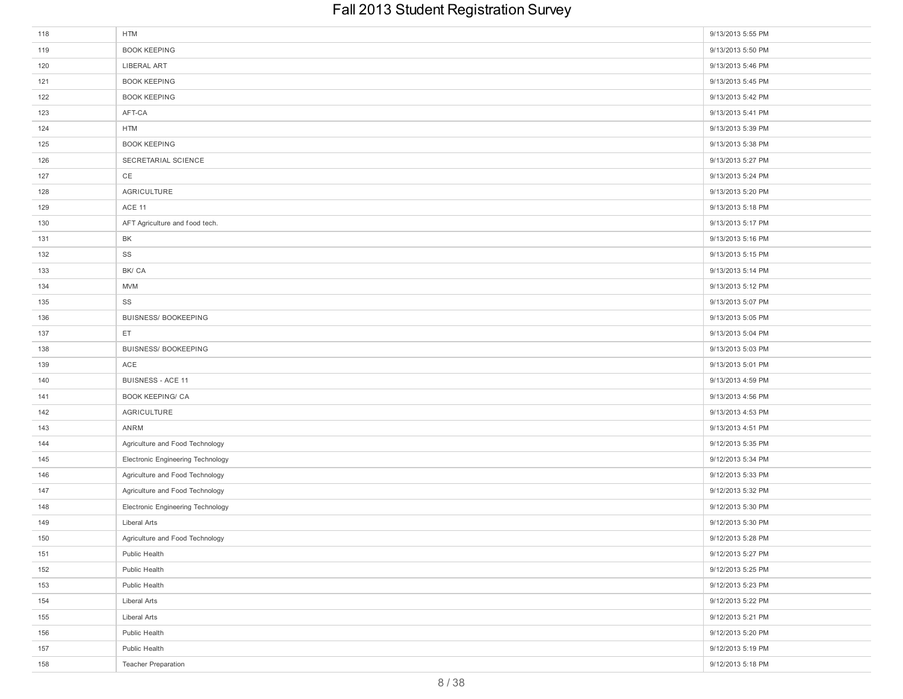| 118 | <b>HTM</b>                        | 9/13/2013 5:55 PM |
|-----|-----------------------------------|-------------------|
| 119 | <b>BOOK KEEPING</b>               | 9/13/2013 5:50 PM |
| 120 | LIBERAL ART                       | 9/13/2013 5:46 PM |
| 121 | <b>BOOK KEEPING</b>               | 9/13/2013 5:45 PM |
| 122 | <b>BOOK KEEPING</b>               | 9/13/2013 5:42 PM |
| 123 | AFT-CA                            | 9/13/2013 5:41 PM |
| 124 | <b>HTM</b>                        | 9/13/2013 5:39 PM |
| 125 | <b>BOOK KEEPING</b>               | 9/13/2013 5:38 PM |
| 126 | SECRETARIAL SCIENCE               | 9/13/2013 5:27 PM |
| 127 | CE                                | 9/13/2013 5:24 PM |
| 128 | AGRICULTURE                       | 9/13/2013 5:20 PM |
| 129 | ACE 11                            | 9/13/2013 5:18 PM |
| 130 | AFT Agriculture and food tech.    | 9/13/2013 5:17 PM |
| 131 | BK                                | 9/13/2013 5:16 PM |
| 132 | SS                                | 9/13/2013 5:15 PM |
| 133 | BK/CA                             | 9/13/2013 5:14 PM |
| 134 | <b>MVM</b>                        | 9/13/2013 5:12 PM |
| 135 | SS                                | 9/13/2013 5:07 PM |
| 136 | <b>BUISNESS/ BOOKEEPING</b>       | 9/13/2013 5:05 PM |
| 137 | ET                                | 9/13/2013 5:04 PM |
| 138 | <b>BUISNESS/ BOOKEEPING</b>       | 9/13/2013 5:03 PM |
| 139 | ACE                               | 9/13/2013 5:01 PM |
| 140 | <b>BUISNESS - ACE 11</b>          | 9/13/2013 4:59 PM |
| 141 | <b>BOOK KEEPING/ CA</b>           | 9/13/2013 4:56 PM |
| 142 | AGRICULTURE                       | 9/13/2013 4:53 PM |
| 143 | ANRM                              | 9/13/2013 4:51 PM |
| 144 | Agriculture and Food Technology   | 9/12/2013 5:35 PM |
| 145 | Electronic Engineering Technology | 9/12/2013 5:34 PM |
| 146 | Agriculture and Food Technology   | 9/12/2013 5:33 PM |
| 147 | Agriculture and Food Technology   | 9/12/2013 5:32 PM |
| 148 | Electronic Engineering Technology | 9/12/2013 5:30 PM |
| 149 | Liberal Arts                      | 9/12/2013 5:30 PM |
| 150 | Agriculture and Food Technology   | 9/12/2013 5:28 PM |
| 151 | Public Health                     | 9/12/2013 5:27 PM |
| 152 | Public Health                     | 9/12/2013 5:25 PM |
| 153 | Public Health                     | 9/12/2013 5:23 PM |
| 154 | Liberal Arts                      | 9/12/2013 5:22 PM |
| 155 | Liberal Arts                      | 9/12/2013 5:21 PM |
| 156 | Public Health                     | 9/12/2013 5:20 PM |
| 157 | Public Health                     | 9/12/2013 5:19 PM |
| 158 | <b>Teacher Preparation</b>        | 9/12/2013 5:18 PM |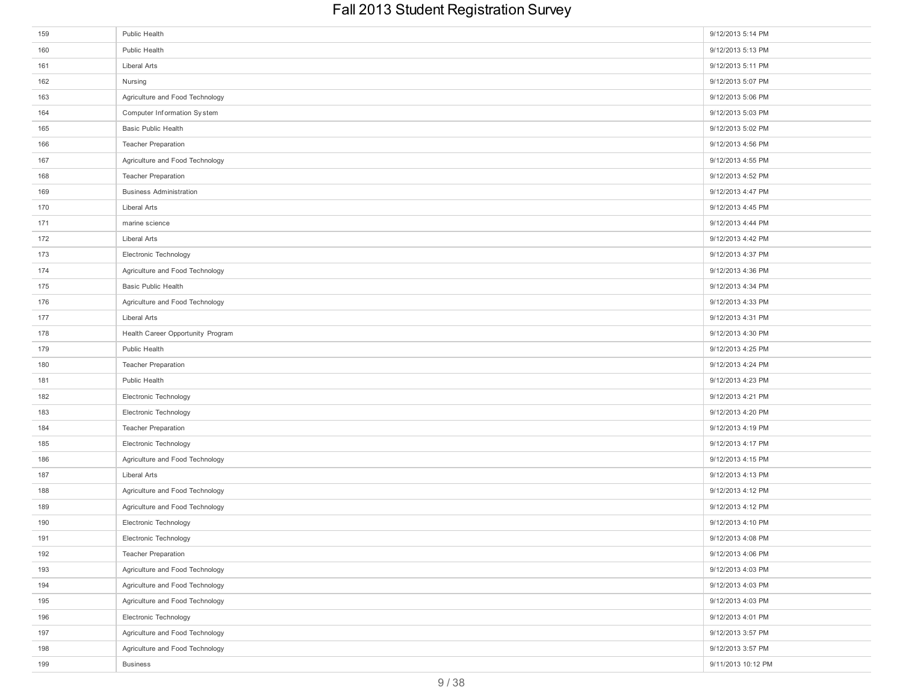| 159 | Public Health                     | 9/12/2013 5:14 PM  |
|-----|-----------------------------------|--------------------|
| 160 | Public Health                     | 9/12/2013 5:13 PM  |
| 161 | Liberal Arts                      | 9/12/2013 5:11 PM  |
| 162 | Nursing                           | 9/12/2013 5:07 PM  |
| 163 | Agriculture and Food Technology   | 9/12/2013 5:06 PM  |
| 164 | Computer Information System       | 9/12/2013 5:03 PM  |
| 165 | Basic Public Health               | 9/12/2013 5:02 PM  |
| 166 | <b>Teacher Preparation</b>        | 9/12/2013 4:56 PM  |
| 167 | Agriculture and Food Technology   | 9/12/2013 4:55 PM  |
| 168 | <b>Teacher Preparation</b>        | 9/12/2013 4:52 PM  |
| 169 | <b>Business Administration</b>    | 9/12/2013 4:47 PM  |
| 170 | Liberal Arts                      | 9/12/2013 4:45 PM  |
| 171 | marine science                    | 9/12/2013 4:44 PM  |
| 172 | Liberal Arts                      | 9/12/2013 4:42 PM  |
| 173 | Electronic Technology             | 9/12/2013 4:37 PM  |
| 174 | Agriculture and Food Technology   | 9/12/2013 4:36 PM  |
| 175 | <b>Basic Public Health</b>        | 9/12/2013 4:34 PM  |
| 176 | Agriculture and Food Technology   | 9/12/2013 4:33 PM  |
| 177 | Liberal Arts                      | 9/12/2013 4:31 PM  |
| 178 | Health Career Opportunity Program | 9/12/2013 4:30 PM  |
| 179 | Public Health                     | 9/12/2013 4:25 PM  |
| 180 | <b>Teacher Preparation</b>        | 9/12/2013 4:24 PM  |
| 181 | Public Health                     | 9/12/2013 4:23 PM  |
| 182 | Electronic Technology             | 9/12/2013 4:21 PM  |
| 183 | Electronic Technology             | 9/12/2013 4:20 PM  |
| 184 | <b>Teacher Preparation</b>        | 9/12/2013 4:19 PM  |
| 185 | Electronic Technology             | 9/12/2013 4:17 PM  |
| 186 | Agriculture and Food Technology   | 9/12/2013 4:15 PM  |
| 187 | Liberal Arts                      | 9/12/2013 4:13 PM  |
| 188 | Agriculture and Food Technology   | 9/12/2013 4:12 PM  |
| 189 | Agriculture and Food Technology   | 9/12/2013 4:12 PM  |
| 190 | Electronic Technology             | 9/12/2013 4:10 PM  |
| 191 | Electronic Technology             | 9/12/2013 4:08 PM  |
| 192 | <b>Teacher Preparation</b>        | 9/12/2013 4:06 PM  |
| 193 | Agriculture and Food Technology   | 9/12/2013 4:03 PM  |
| 194 | Agriculture and Food Technology   | 9/12/2013 4:03 PM  |
| 195 | Agriculture and Food Technology   | 9/12/2013 4:03 PM  |
| 196 | Electronic Technology             | 9/12/2013 4:01 PM  |
| 197 | Agriculture and Food Technology   | 9/12/2013 3:57 PM  |
| 198 | Agriculture and Food Technology   | 9/12/2013 3:57 PM  |
| 199 | <b>Business</b>                   | 9/11/2013 10:12 PM |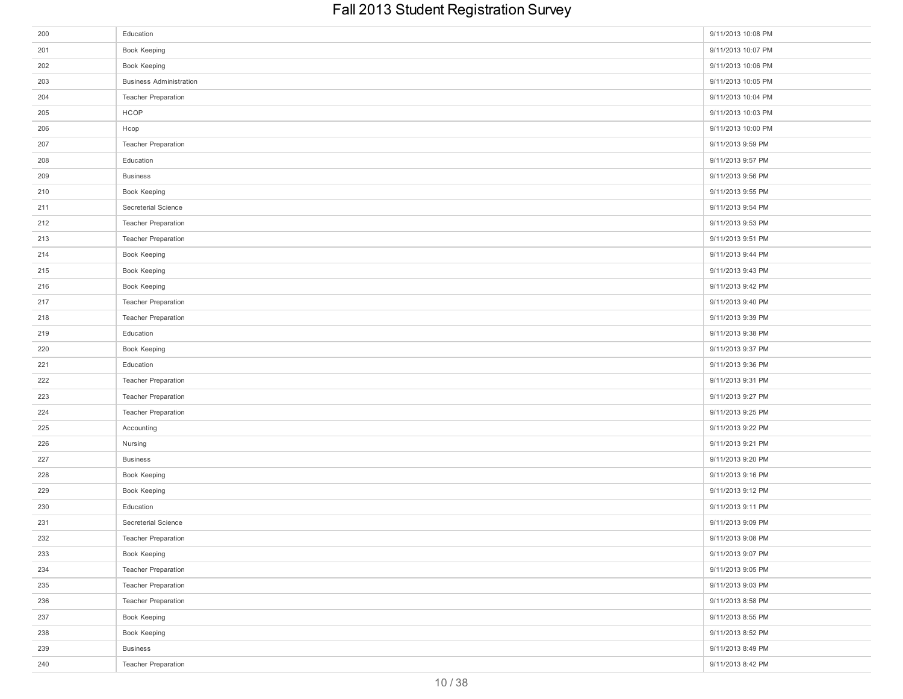| 200 | Education                      | 9/11/2013 10:08 PM |
|-----|--------------------------------|--------------------|
| 201 | Book Keeping                   | 9/11/2013 10:07 PM |
| 202 | Book Keeping                   | 9/11/2013 10:06 PM |
| 203 | <b>Business Administration</b> | 9/11/2013 10:05 PM |
| 204 | Teacher Preparation            | 9/11/2013 10:04 PM |
| 205 | HCOP                           | 9/11/2013 10:03 PM |
| 206 | Hcop                           | 9/11/2013 10:00 PM |
| 207 | Teacher Preparation            | 9/11/2013 9:59 PM  |
| 208 | Education                      | 9/11/2013 9:57 PM  |
| 209 | <b>Business</b>                | 9/11/2013 9:56 PM  |
| 210 | Book Keeping                   | 9/11/2013 9:55 PM  |
| 211 | Secreterial Science            | 9/11/2013 9:54 PM  |
| 212 | <b>Teacher Preparation</b>     | 9/11/2013 9:53 PM  |
| 213 | <b>Teacher Preparation</b>     | 9/11/2013 9:51 PM  |
| 214 | Book Keeping                   | 9/11/2013 9:44 PM  |
| 215 | Book Keeping                   | 9/11/2013 9:43 PM  |
| 216 | Book Keeping                   | 9/11/2013 9:42 PM  |
| 217 | Teacher Preparation            | 9/11/2013 9:40 PM  |
| 218 | Teacher Preparation            | 9/11/2013 9:39 PM  |
| 219 | Education                      | 9/11/2013 9:38 PM  |
| 220 | Book Keeping                   | 9/11/2013 9:37 PM  |
| 221 | Education                      | 9/11/2013 9:36 PM  |
| 222 | <b>Teacher Preparation</b>     | 9/11/2013 9:31 PM  |
| 223 | <b>Teacher Preparation</b>     | 9/11/2013 9:27 PM  |
| 224 | Teacher Preparation            | 9/11/2013 9:25 PM  |
| 225 | Accounting                     | 9/11/2013 9:22 PM  |
| 226 | Nursing                        | 9/11/2013 9:21 PM  |
| 227 | <b>Business</b>                | 9/11/2013 9:20 PM  |
| 228 | Book Keeping                   | 9/11/2013 9:16 PM  |
| 229 | Book Keeping                   | 9/11/2013 9:12 PM  |
| 230 | Education                      | 9/11/2013 9:11 PM  |
| 231 | Secreterial Science            | 9/11/2013 9:09 PM  |
| 232 | Teacher Preparation            | 9/11/2013 9:08 PM  |
| 233 | Book Keeping                   | 9/11/2013 9:07 PM  |
| 234 | Teacher Preparation            | 9/11/2013 9:05 PM  |
| 235 | <b>Teacher Preparation</b>     | 9/11/2013 9:03 PM  |
| 236 | <b>Teacher Preparation</b>     | 9/11/2013 8:58 PM  |
| 237 | Book Keeping                   | 9/11/2013 8:55 PM  |
| 238 | Book Keeping                   | 9/11/2013 8:52 PM  |
| 239 | <b>Business</b>                | 9/11/2013 8:49 PM  |
| 240 | Teacher Preparation            | 9/11/2013 8:42 PM  |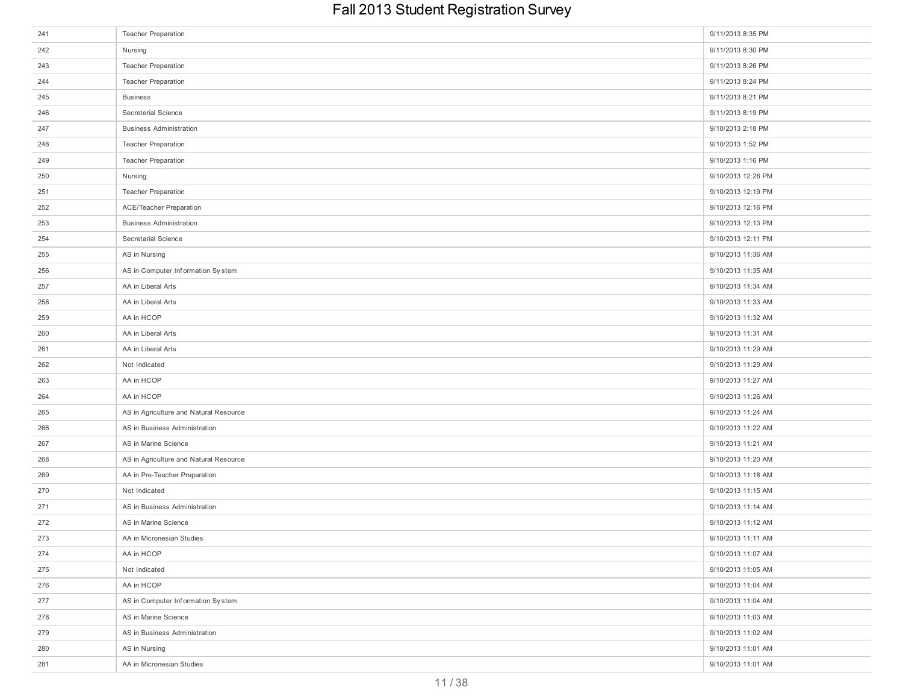| 241 | <b>Teacher Preparation</b>             | 9/11/2013 8:35 PM  |
|-----|----------------------------------------|--------------------|
| 242 | Nursing                                | 9/11/2013 8:30 PM  |
| 243 | <b>Teacher Preparation</b>             | 9/11/2013 8:26 PM  |
| 244 | <b>Teacher Preparation</b>             | 9/11/2013 8:24 PM  |
| 245 | <b>Business</b>                        | 9/11/2013 8:21 PM  |
| 246 | Secreterial Science                    | 9/11/2013 8:19 PM  |
| 247 | <b>Business Administration</b>         | 9/10/2013 2:18 PM  |
| 248 | <b>Teacher Preparation</b>             | 9/10/2013 1:52 PM  |
| 249 | <b>Teacher Preparation</b>             | 9/10/2013 1:16 PM  |
| 250 | Nursing                                | 9/10/2013 12:26 PM |
| 251 | <b>Teacher Preparation</b>             | 9/10/2013 12:19 PM |
| 252 | <b>ACE/Teacher Preparation</b>         | 9/10/2013 12:16 PM |
| 253 | <b>Business Administration</b>         | 9/10/2013 12:13 PM |
| 254 | Secretarial Science                    | 9/10/2013 12:11 PM |
| 255 | AS in Nursing                          | 9/10/2013 11:36 AM |
| 256 | AS in Computer Information System      | 9/10/2013 11:35 AM |
| 257 | AA in Liberal Arts                     | 9/10/2013 11:34 AM |
| 258 | AA in Liberal Arts                     | 9/10/2013 11:33 AM |
| 259 | AA in HCOP                             | 9/10/2013 11:32 AM |
| 260 | AA in Liberal Arts                     | 9/10/2013 11:31 AM |
| 261 | AA in Liberal Arts                     | 9/10/2013 11:29 AM |
| 262 | Not Indicated                          | 9/10/2013 11:29 AM |
| 263 | AA in HCOP                             | 9/10/2013 11:27 AM |
| 264 | AA in HCOP                             | 9/10/2013 11:26 AM |
| 265 | AS in Agriculture and Natural Resource | 9/10/2013 11:24 AM |
| 266 | AS in Business Administration          | 9/10/2013 11:22 AM |
| 267 | AS in Marine Science                   | 9/10/2013 11:21 AM |
| 268 | AS in Agriculture and Natural Resource | 9/10/2013 11:20 AM |
| 269 | AA in Pre-Teacher Preparation          | 9/10/2013 11:18 AM |
| 270 | Not Indicated                          | 9/10/2013 11:15 AM |
| 271 | AS in Business Administration          | 9/10/2013 11:14 AM |
| 272 | AS in Marine Science                   | 9/10/2013 11:12 AM |
| 273 | AA in Micronesian Studies              | 9/10/2013 11:11 AM |
| 274 | AA in HCOP                             | 9/10/2013 11:07 AM |
| 275 | Not Indicated                          | 9/10/2013 11:05 AM |
| 276 | AA in HCOP                             | 9/10/2013 11:04 AM |
| 277 | AS in Computer Information System      | 9/10/2013 11:04 AM |
| 278 | AS in Marine Science                   | 9/10/2013 11:03 AM |
| 279 | AS in Business Administration          | 9/10/2013 11:02 AM |
| 280 | AS in Nursing                          | 9/10/2013 11:01 AM |
| 281 | AA in Micronesian Studies              | 9/10/2013 11:01 AM |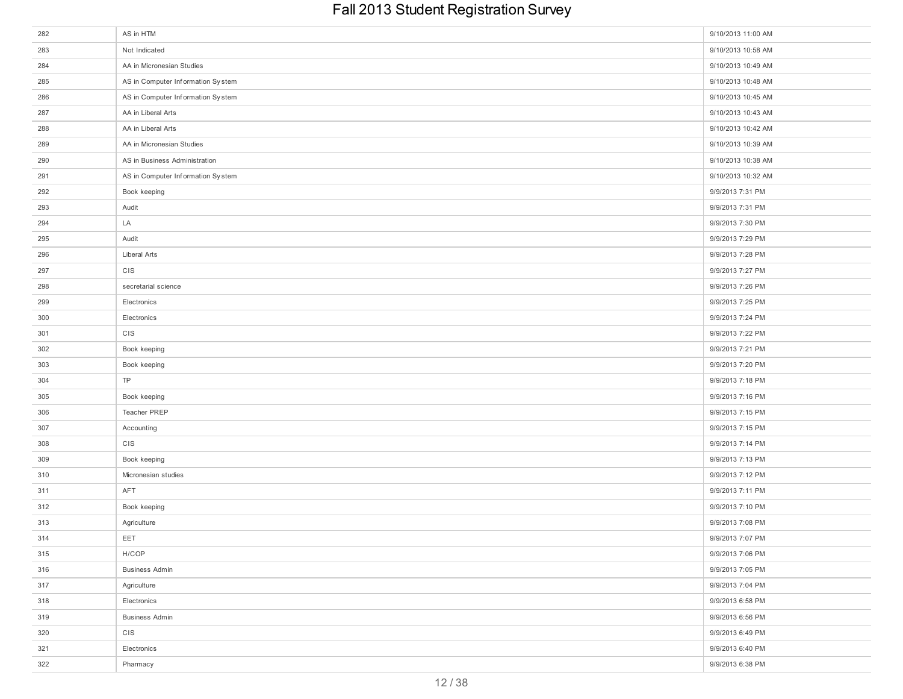| 282 | AS in HTM                         | 9/10/2013 11:00 AM |
|-----|-----------------------------------|--------------------|
| 283 | Not Indicated                     | 9/10/2013 10:58 AM |
| 284 | AA in Micronesian Studies         | 9/10/2013 10:49 AM |
| 285 | AS in Computer Information System | 9/10/2013 10:48 AM |
| 286 | AS in Computer Information System | 9/10/2013 10:45 AM |
| 287 | AA in Liberal Arts                | 9/10/2013 10:43 AM |
| 288 | AA in Liberal Arts                | 9/10/2013 10:42 AM |
| 289 | AA in Micronesian Studies         | 9/10/2013 10:39 AM |
| 290 | AS in Business Administration     | 9/10/2013 10:38 AM |
| 291 | AS in Computer Information System | 9/10/2013 10:32 AM |
| 292 | Book keeping                      | 9/9/2013 7:31 PM   |
| 293 | Audit                             | 9/9/2013 7:31 PM   |
| 294 | LA                                | 9/9/2013 7:30 PM   |
| 295 | Audit                             | 9/9/2013 7:29 PM   |
| 296 | Liberal Arts                      | 9/9/2013 7:28 PM   |
| 297 | CIS                               | 9/9/2013 7:27 PM   |
| 298 | secretarial science               | 9/9/2013 7:26 PM   |
| 299 | Electronics                       | 9/9/2013 7:25 PM   |
| 300 | Electronics                       | 9/9/2013 7:24 PM   |
| 301 | CIS                               | 9/9/2013 7:22 PM   |
| 302 | Book keeping                      | 9/9/2013 7:21 PM   |
| 303 | Book keeping                      | 9/9/2013 7:20 PM   |
| 304 | TP                                | 9/9/2013 7:18 PM   |
| 305 | Book keeping                      | 9/9/2013 7:16 PM   |
| 306 | Teacher PREP                      | 9/9/2013 7:15 PM   |
| 307 | Accounting                        | 9/9/2013 7:15 PM   |
| 308 | CIS                               | 9/9/2013 7:14 PM   |
| 309 | Book keeping                      | 9/9/2013 7:13 PM   |
| 310 | Micronesian studies               | 9/9/2013 7:12 PM   |
| 311 | AFT                               | 9/9/2013 7:11 PM   |
| 312 | Book keeping                      | 9/9/2013 7:10 PM   |
| 313 | Agriculture                       | 9/9/2013 7:08 PM   |
| 314 | EET                               | 9/9/2013 7:07 PM   |
| 315 | H/COP                             | 9/9/2013 7:06 PM   |
| 316 | <b>Business Admin</b>             | 9/9/2013 7:05 PM   |
| 317 | Agriculture                       | 9/9/2013 7:04 PM   |
| 318 | Electronics                       | 9/9/2013 6:58 PM   |
| 319 | <b>Business Admin</b>             | 9/9/2013 6:56 PM   |
| 320 | CIS                               | 9/9/2013 6:49 PM   |
| 321 | Electronics                       | 9/9/2013 6:40 PM   |
| 322 | Pharmacy                          | 9/9/2013 6:38 PM   |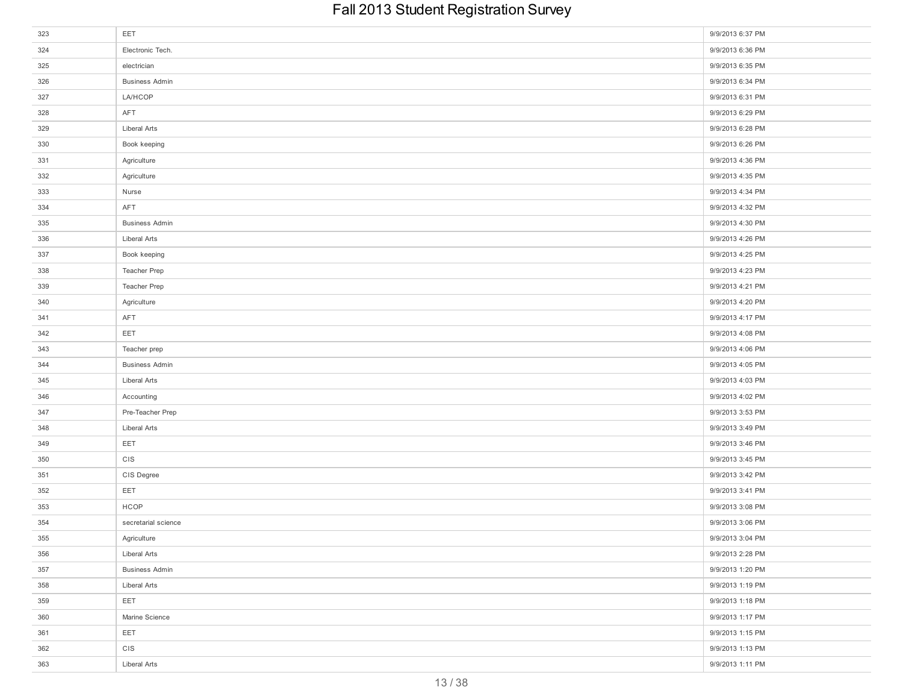| 323 | EET                   | 9/9/2013 6:37 PM |
|-----|-----------------------|------------------|
| 324 | Electronic Tech.      | 9/9/2013 6:36 PM |
| 325 | electrician           | 9/9/2013 6:35 PM |
| 326 | <b>Business Admin</b> | 9/9/2013 6:34 PM |
| 327 | <b>LA/HCOP</b>        | 9/9/2013 6:31 PM |
| 328 | AFT                   | 9/9/2013 6:29 PM |
| 329 | Liberal Arts          | 9/9/2013 6:28 PM |
| 330 | Book keeping          | 9/9/2013 6:26 PM |
| 331 | Agriculture           | 9/9/2013 4:36 PM |
| 332 | Agriculture           | 9/9/2013 4:35 PM |
| 333 | Nurse                 | 9/9/2013 4:34 PM |
| 334 | AFT                   | 9/9/2013 4:32 PM |
| 335 | <b>Business Admin</b> | 9/9/2013 4:30 PM |
| 336 | Liberal Arts          | 9/9/2013 4:26 PM |
| 337 | Book keeping          | 9/9/2013 4:25 PM |
| 338 | Teacher Prep          | 9/9/2013 4:23 PM |
| 339 | Teacher Prep          | 9/9/2013 4:21 PM |
| 340 | Agriculture           | 9/9/2013 4:20 PM |
| 341 | AFT                   | 9/9/2013 4:17 PM |
| 342 | EET                   | 9/9/2013 4:08 PM |
| 343 | Teacher prep          | 9/9/2013 4:06 PM |
| 344 | <b>Business Admin</b> | 9/9/2013 4:05 PM |
| 345 | Liberal Arts          | 9/9/2013 4:03 PM |
| 346 | Accounting            | 9/9/2013 4:02 PM |
| 347 | Pre-Teacher Prep      | 9/9/2013 3:53 PM |
| 348 | Liberal Arts          | 9/9/2013 3:49 PM |
| 349 | EET                   | 9/9/2013 3:46 PM |
| 350 | CIS                   | 9/9/2013 3:45 PM |
| 351 | CIS Degree            | 9/9/2013 3:42 PM |
| 352 | EET                   | 9/9/2013 3:41 PM |
| 353 | HCOP                  | 9/9/2013 3:08 PM |
| 354 | secretarial science   | 9/9/2013 3:06 PM |
| 355 | Agriculture           | 9/9/2013 3:04 PM |
| 356 | Liberal Arts          | 9/9/2013 2:28 PM |
| 357 | <b>Business Admin</b> | 9/9/2013 1:20 PM |
| 358 | Liberal Arts          | 9/9/2013 1:19 PM |
| 359 | EET                   | 9/9/2013 1:18 PM |
| 360 | Marine Science        | 9/9/2013 1:17 PM |
| 361 | EET                   | 9/9/2013 1:15 PM |
| 362 | CIS                   | 9/9/2013 1:13 PM |
| 363 | Liberal Arts          | 9/9/2013 1:11 PM |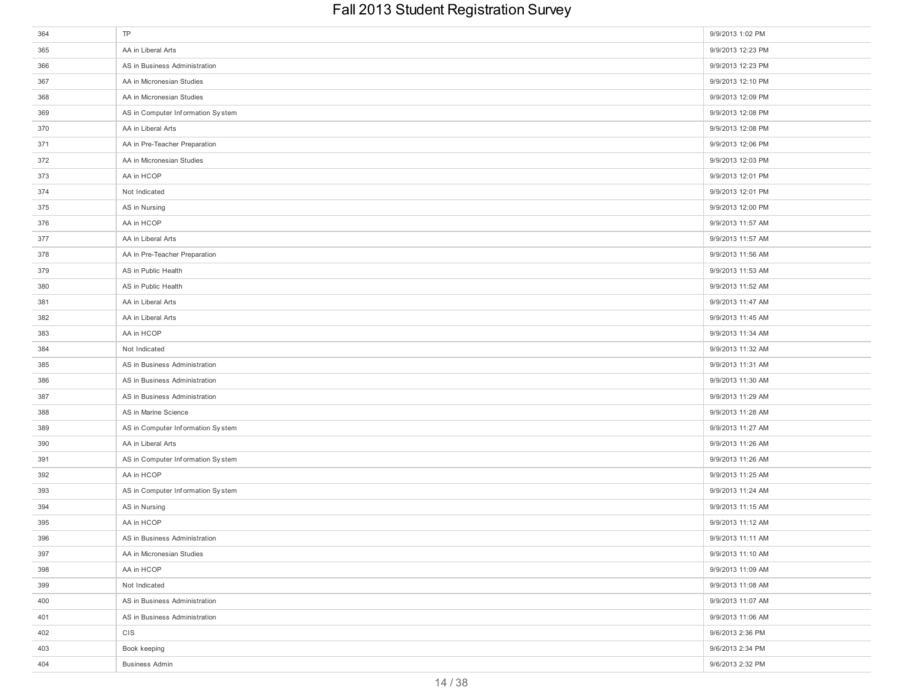| 364 | TP                                | 9/9/2013 1:02 PM  |
|-----|-----------------------------------|-------------------|
| 365 | AA in Liberal Arts                | 9/9/2013 12:23 PM |
| 366 | AS in Business Administration     | 9/9/2013 12:23 PM |
| 367 | AA in Micronesian Studies         | 9/9/2013 12:10 PM |
| 368 | AA in Micronesian Studies         | 9/9/2013 12:09 PM |
| 369 | AS in Computer Information System | 9/9/2013 12:08 PM |
| 370 | AA in Liberal Arts                | 9/9/2013 12:08 PM |
| 371 | AA in Pre-Teacher Preparation     | 9/9/2013 12:06 PM |
| 372 | AA in Micronesian Studies         | 9/9/2013 12:03 PM |
| 373 | AA in HCOP                        | 9/9/2013 12:01 PM |
| 374 | Not Indicated                     | 9/9/2013 12:01 PM |
| 375 | AS in Nursing                     | 9/9/2013 12:00 PM |
| 376 | AA in HCOP                        | 9/9/2013 11:57 AM |
| 377 | AA in Liberal Arts                | 9/9/2013 11:57 AM |
| 378 | AA in Pre-Teacher Preparation     | 9/9/2013 11:56 AM |
| 379 | AS in Public Health               | 9/9/2013 11:53 AM |
| 380 | AS in Public Health               | 9/9/2013 11:52 AM |
| 381 | AA in Liberal Arts                | 9/9/2013 11:47 AM |
| 382 | AA in Liberal Arts                | 9/9/2013 11:45 AM |
| 383 | AA in HCOP                        | 9/9/2013 11:34 AM |
| 384 | Not Indicated                     | 9/9/2013 11:32 AM |
| 385 | AS in Business Administration     | 9/9/2013 11:31 AM |
| 386 | AS in Business Administration     | 9/9/2013 11:30 AM |
| 387 | AS in Business Administration     | 9/9/2013 11:29 AM |
| 388 | AS in Marine Science              | 9/9/2013 11:28 AM |
| 389 | AS in Computer Information System | 9/9/2013 11:27 AM |
| 390 | AA in Liberal Arts                | 9/9/2013 11:26 AM |
| 391 | AS in Computer Information System | 9/9/2013 11:26 AM |
| 392 | AA in HCOP                        | 9/9/2013 11:25 AM |
| 393 | AS in Computer Information System | 9/9/2013 11:24 AM |
| 394 | AS in Nursing                     | 9/9/2013 11:15 AM |
| 395 | AA in HCOP                        | 9/9/2013 11:12 AM |
| 396 | AS in Business Administration     | 9/9/2013 11:11 AM |
| 397 | AA in Micronesian Studies         | 9/9/2013 11:10 AM |
| 398 | AA in HCOP                        | 9/9/2013 11:09 AM |
| 399 | Not Indicated                     | 9/9/2013 11:08 AM |
| 400 | AS in Business Administration     | 9/9/2013 11:07 AM |
| 401 | AS in Business Administration     | 9/9/2013 11:06 AM |
| 402 | CIS                               | 9/6/2013 2:36 PM  |
| 403 | Book keeping                      | 9/6/2013 2:34 PM  |
| 404 | <b>Business Admin</b>             | 9/6/2013 2:32 PM  |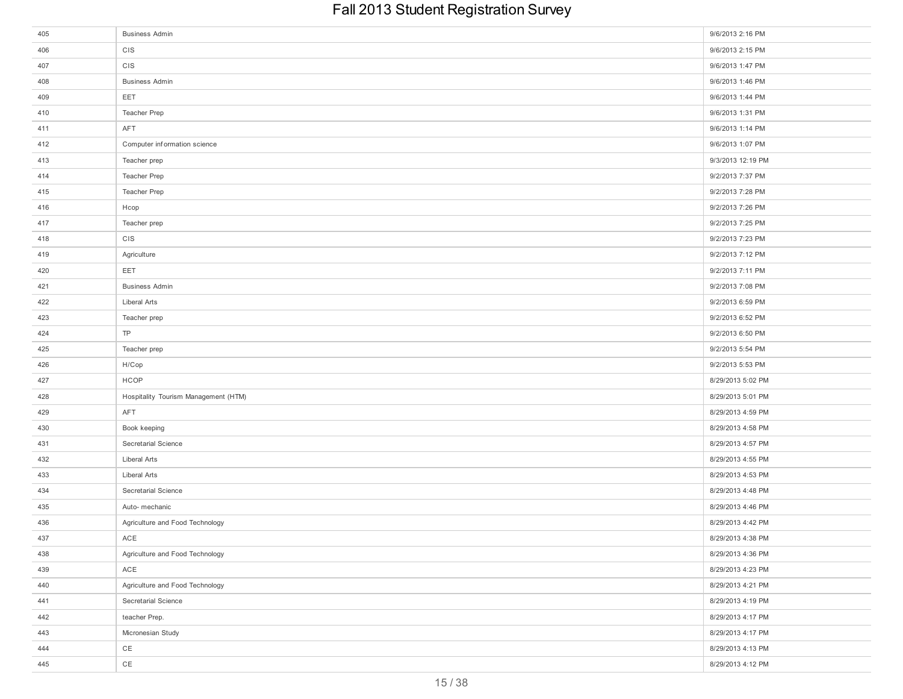| 405 | <b>Business Admin</b>                | 9/6/2013 2:16 PM  |
|-----|--------------------------------------|-------------------|
| 406 | CIS                                  | 9/6/2013 2:15 PM  |
| 407 | CIS                                  | 9/6/2013 1:47 PM  |
| 408 | <b>Business Admin</b>                | 9/6/2013 1:46 PM  |
| 409 | EET                                  | 9/6/2013 1:44 PM  |
| 410 | Teacher Prep                         | 9/6/2013 1:31 PM  |
| 411 | AFT                                  | 9/6/2013 1:14 PM  |
| 412 | Computer information science         | 9/6/2013 1:07 PM  |
| 413 | Teacher prep                         | 9/3/2013 12:19 PM |
| 414 | Teacher Prep                         | 9/2/2013 7:37 PM  |
| 415 | Teacher Prep                         | 9/2/2013 7:28 PM  |
| 416 | Hcop                                 | 9/2/2013 7:26 PM  |
| 417 | Teacher prep                         | 9/2/2013 7:25 PM  |
| 418 | CIS                                  | 9/2/2013 7:23 PM  |
| 419 | Agriculture                          | 9/2/2013 7:12 PM  |
| 420 | EET                                  | 9/2/2013 7:11 PM  |
| 421 | <b>Business Admin</b>                | 9/2/2013 7:08 PM  |
| 422 | Liberal Arts                         | 9/2/2013 6:59 PM  |
| 423 | Teacher prep                         | 9/2/2013 6:52 PM  |
| 424 | TP                                   | 9/2/2013 6:50 PM  |
| 425 | Teacher prep                         | 9/2/2013 5:54 PM  |
| 426 | H/Cop                                | 9/2/2013 5:53 PM  |
| 427 | HCOP                                 | 8/29/2013 5:02 PM |
| 428 | Hospitality Tourism Management (HTM) | 8/29/2013 5:01 PM |
| 429 | AFT                                  | 8/29/2013 4:59 PM |
| 430 | Book keeping                         | 8/29/2013 4:58 PM |
| 431 | Secretarial Science                  | 8/29/2013 4:57 PM |
| 432 | Liberal Arts                         | 8/29/2013 4:55 PM |
| 433 | Liberal Arts                         | 8/29/2013 4:53 PM |
| 434 | Secretarial Science                  | 8/29/2013 4:48 PM |
| 435 | Auto- mechanic                       | 8/29/2013 4:46 PM |
| 436 | Agriculture and Food Technology      | 8/29/2013 4:42 PM |
| 437 | ACE                                  | 8/29/2013 4:38 PM |
| 438 | Agriculture and Food Technology      | 8/29/2013 4:36 PM |
| 439 | ACE                                  | 8/29/2013 4:23 PM |
| 440 | Agriculture and Food Technology      | 8/29/2013 4:21 PM |
| 441 | Secretarial Science                  | 8/29/2013 4:19 PM |
| 442 | teacher Prep.                        | 8/29/2013 4:17 PM |
| 443 | Micronesian Study                    | 8/29/2013 4:17 PM |
| 444 | CE                                   | 8/29/2013 4:13 PM |
| 445 | $CE$                                 | 8/29/2013 4:12 PM |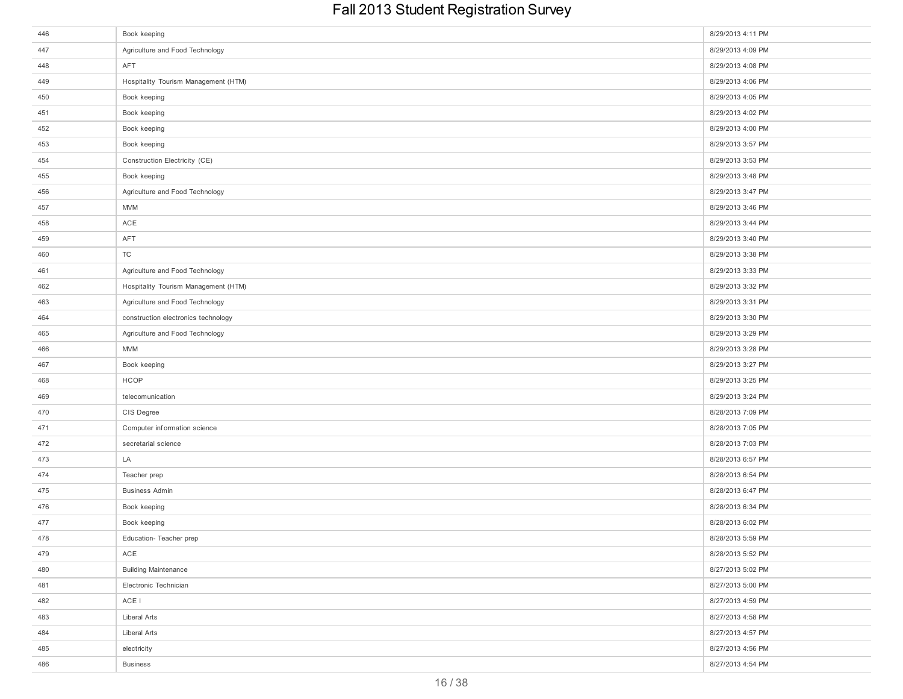| 446 | Book keeping                         | 8/29/2013 4:11 PM |
|-----|--------------------------------------|-------------------|
| 447 | Agriculture and Food Technology      | 8/29/2013 4:09 PM |
| 448 | AFT                                  | 8/29/2013 4:08 PM |
| 449 | Hospitality Tourism Management (HTM) | 8/29/2013 4:06 PM |
| 450 | Book keeping                         | 8/29/2013 4:05 PM |
| 451 | Book keeping                         | 8/29/2013 4:02 PM |
| 452 | Book keeping                         | 8/29/2013 4:00 PM |
| 453 | Book keeping                         | 8/29/2013 3:57 PM |
| 454 | Construction Electricity (CE)        | 8/29/2013 3:53 PM |
| 455 | Book keeping                         | 8/29/2013 3:48 PM |
| 456 | Agriculture and Food Technology      | 8/29/2013 3:47 PM |
| 457 | <b>MVM</b>                           | 8/29/2013 3:46 PM |
| 458 | ACE                                  | 8/29/2013 3:44 PM |
| 459 | AFT                                  | 8/29/2013 3:40 PM |
| 460 | TC                                   | 8/29/2013 3:38 PM |
| 461 | Agriculture and Food Technology      | 8/29/2013 3:33 PM |
| 462 | Hospitality Tourism Management (HTM) | 8/29/2013 3:32 PM |
| 463 | Agriculture and Food Technology      | 8/29/2013 3:31 PM |
| 464 | construction electronics technology  | 8/29/2013 3:30 PM |
| 465 | Agriculture and Food Technology      | 8/29/2013 3:29 PM |
| 466 | <b>MVM</b>                           | 8/29/2013 3:28 PM |
| 467 | Book keeping                         | 8/29/2013 3:27 PM |
| 468 | <b>HCOP</b>                          | 8/29/2013 3:25 PM |
| 469 | telecomunication                     | 8/29/2013 3:24 PM |
| 470 | CIS Degree                           | 8/28/2013 7:09 PM |
| 471 | Computer information science         | 8/28/2013 7:05 PM |
| 472 | secretarial science                  | 8/28/2013 7:03 PM |
| 473 | LA                                   | 8/28/2013 6:57 PM |
| 474 | Teacher prep                         | 8/28/2013 6:54 PM |
| 475 | <b>Business Admin</b>                | 8/28/2013 6:47 PM |
| 476 | Book keeping                         | 8/28/2013 6:34 PM |
| 477 | Book keeping                         | 8/28/2013 6:02 PM |
| 478 | Education-Teacher prep               | 8/28/2013 5:59 PM |
| 479 | ACE                                  | 8/28/2013 5:52 PM |
| 480 | <b>Building Maintenance</b>          | 8/27/2013 5:02 PM |
| 481 | Electronic Technician                | 8/27/2013 5:00 PM |
| 482 | ACE I                                | 8/27/2013 4:59 PM |
| 483 | Liberal Arts                         | 8/27/2013 4:58 PM |
| 484 | Liberal Arts                         | 8/27/2013 4:57 PM |
| 485 | electricity                          | 8/27/2013 4:56 PM |
| 486 | <b>Business</b>                      | 8/27/2013 4:54 PM |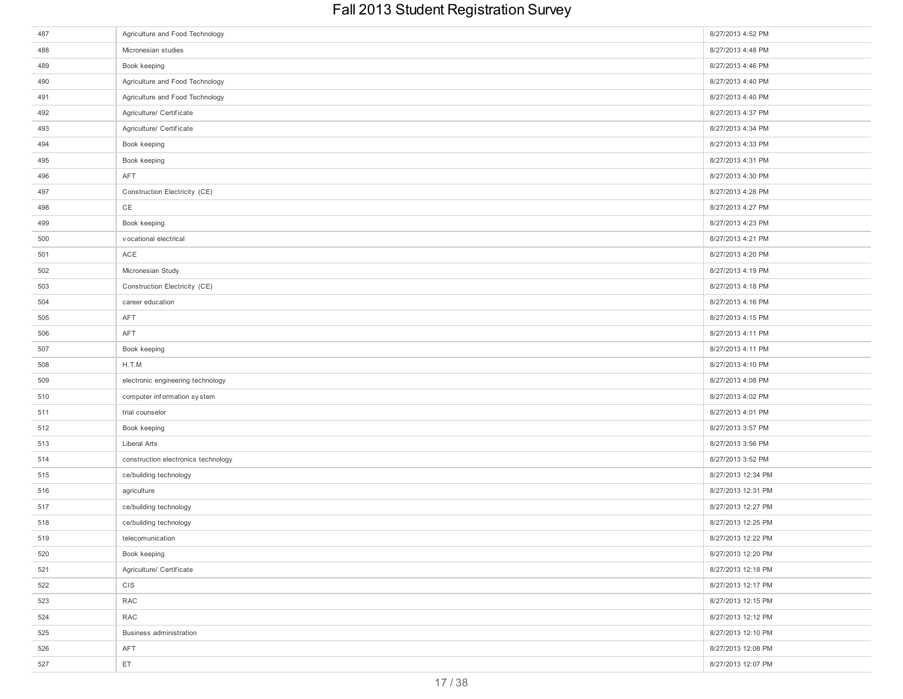| 487 | Agriculture and Food Technology     | 8/27/2013 4:52 PM  |
|-----|-------------------------------------|--------------------|
| 488 | Micronesian studies                 | 8/27/2013 4:48 PM  |
| 489 | Book keeping                        | 8/27/2013 4:46 PM  |
| 490 | Agriculture and Food Technology     | 8/27/2013 4:40 PM  |
| 491 | Agriculture and Food Technology     | 8/27/2013 4:40 PM  |
| 492 | Agriculture/ Certificate            | 8/27/2013 4:37 PM  |
| 493 | Agriculture/ Certificate            | 8/27/2013 4:34 PM  |
| 494 | Book keeping                        | 8/27/2013 4:33 PM  |
| 495 | Book keeping                        | 8/27/2013 4:31 PM  |
| 496 | AFT                                 | 8/27/2013 4:30 PM  |
| 497 | Construction Electricity (CE)       | 8/27/2013 4:28 PM  |
| 498 | CE                                  | 8/27/2013 4:27 PM  |
| 499 | Book keeping                        | 8/27/2013 4:23 PM  |
| 500 | vocational electrical               | 8/27/2013 4:21 PM  |
| 501 | ACE                                 | 8/27/2013 4:20 PM  |
| 502 | Micronesian Study                   | 8/27/2013 4:19 PM  |
| 503 | Construction Electricity (CE)       | 8/27/2013 4:18 PM  |
| 504 | career education                    | 8/27/2013 4:16 PM  |
| 505 | AFT                                 | 8/27/2013 4:15 PM  |
| 506 | AFT                                 | 8/27/2013 4:11 PM  |
| 507 | Book keeping                        | 8/27/2013 4:11 PM  |
| 508 | H.T.M                               | 8/27/2013 4:10 PM  |
| 509 | electronic engineering technology   | 8/27/2013 4:08 PM  |
| 510 | computer information system         | 8/27/2013 4:02 PM  |
| 511 | trial counselor                     | 8/27/2013 4:01 PM  |
| 512 | Book keeping                        | 8/27/2013 3:57 PM  |
| 513 | Liberal Arts                        | 8/27/2013 3:56 PM  |
| 514 | construction electronics technology | 8/27/2013 3:52 PM  |
| 515 | ce/building technology              | 8/27/2013 12:34 PM |
| 516 | agriculture                         | 8/27/2013 12:31 PM |
| 517 | ce/building technology              | 8/27/2013 12:27 PM |
| 518 | ce/building technology              | 8/27/2013 12:25 PM |
| 519 | telecomunication                    | 8/27/2013 12:22 PM |
| 520 | Book keeping                        | 8/27/2013 12:20 PM |
| 521 | Agriculture/ Certificate            | 8/27/2013 12:18 PM |
| 522 | <b>CIS</b>                          | 8/27/2013 12:17 PM |
| 523 | RAC                                 | 8/27/2013 12:15 PM |
| 524 | RAC                                 | 8/27/2013 12:12 PM |
| 525 | Business administration             | 8/27/2013 12:10 PM |
| 526 | AFT                                 | 8/27/2013 12:08 PM |
| 527 | ET                                  | 8/27/2013 12:07 PM |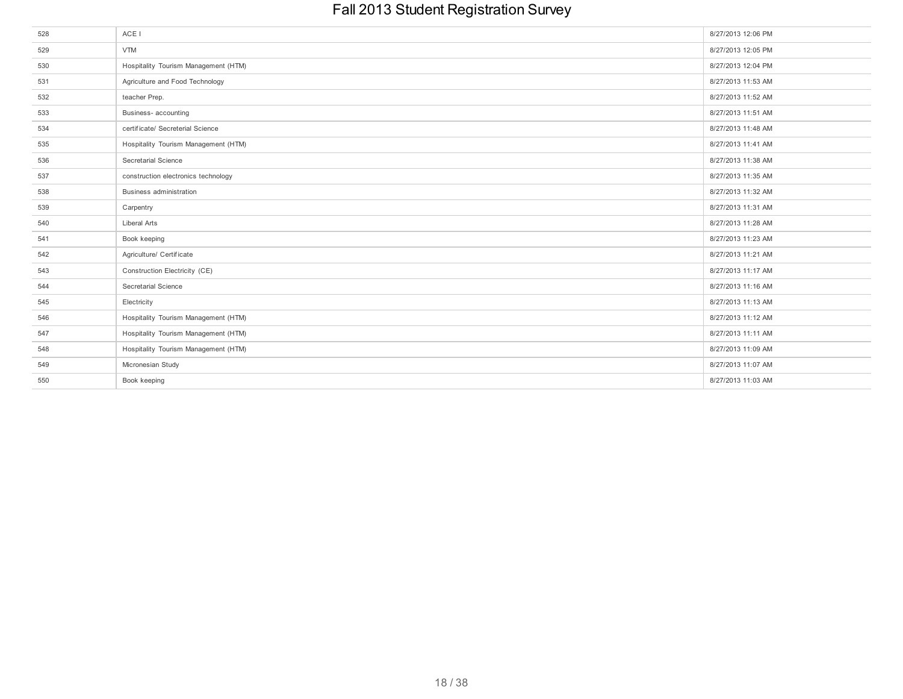| 528 | ACE I                                | 8/27/2013 12:06 PM |
|-----|--------------------------------------|--------------------|
| 529 | <b>VTM</b>                           | 8/27/2013 12:05 PM |
| 530 | Hospitality Tourism Management (HTM) | 8/27/2013 12:04 PM |
| 531 | Agriculture and Food Technology      | 8/27/2013 11:53 AM |
| 532 | teacher Prep.                        | 8/27/2013 11:52 AM |
| 533 | Business- accounting                 | 8/27/2013 11:51 AM |
| 534 | certificate/ Secreterial Science     | 8/27/2013 11:48 AM |
| 535 | Hospitality Tourism Management (HTM) | 8/27/2013 11:41 AM |
| 536 | Secretarial Science                  | 8/27/2013 11:38 AM |
| 537 | construction electronics technology  | 8/27/2013 11:35 AM |
| 538 | Business administration              | 8/27/2013 11:32 AM |
| 539 | Carpentry                            | 8/27/2013 11:31 AM |
| 540 | Liberal Arts                         | 8/27/2013 11:28 AM |
| 541 | Book keeping                         | 8/27/2013 11:23 AM |
| 542 | Agriculture/ Certificate             | 8/27/2013 11:21 AM |
| 543 | Construction Electricity (CE)        | 8/27/2013 11:17 AM |
| 544 | Secretarial Science                  | 8/27/2013 11:16 AM |
| 545 | Electricity                          | 8/27/2013 11:13 AM |
| 546 | Hospitality Tourism Management (HTM) | 8/27/2013 11:12 AM |
| 547 | Hospitality Tourism Management (HTM) | 8/27/2013 11:11 AM |
| 548 | Hospitality Tourism Management (HTM) | 8/27/2013 11:09 AM |
| 549 | Micronesian Study                    | 8/27/2013 11:07 AM |
| 550 | Book keeping                         | 8/27/2013 11:03 AM |
|     |                                      |                    |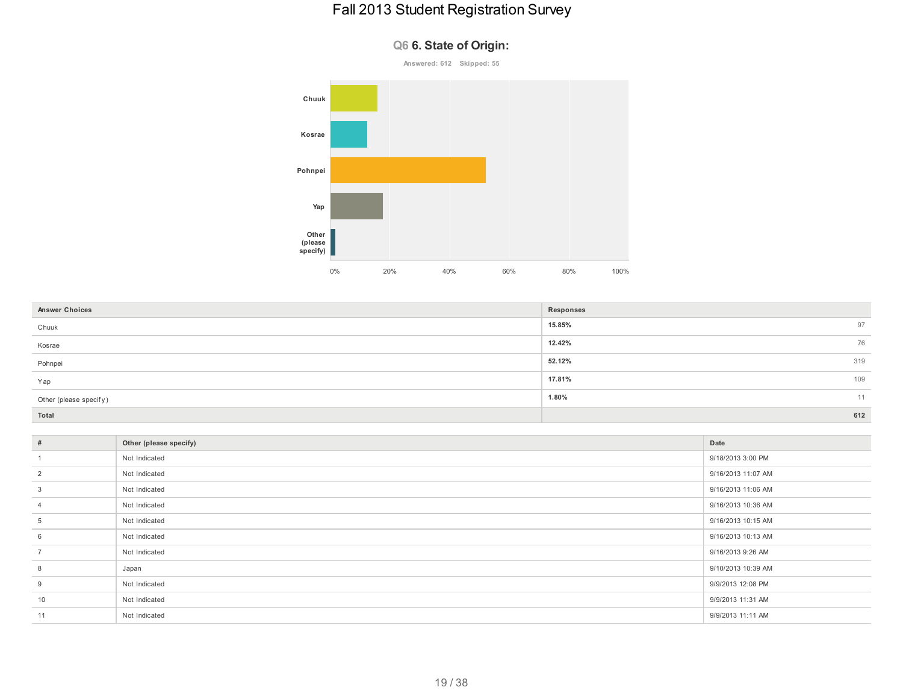#### **Q6 6. State of Origin:**



| <b>Answer Choices</b>  | Responses     |
|------------------------|---------------|
| Chuuk                  | 15.85%<br>97  |
| Kosrae                 | 12.42%<br>76  |
| Pohnpei                | 319<br>52.12% |
| Yap                    | 109<br>17.81% |
| Other (please specify) | 1.80%<br>11   |
| Total                  | 612           |

| $\#$           | Other (please specify) | Date               |
|----------------|------------------------|--------------------|
|                | Not Indicated          | 9/18/2013 3:00 PM  |
| $\overline{2}$ | Not Indicated          | 9/16/2013 11:07 AM |
| 3              | Not Indicated          | 9/16/2013 11:06 AM |
| $\overline{4}$ | Not Indicated          | 9/16/2013 10:36 AM |
| 5              | Not Indicated          | 9/16/2013 10:15 AM |
| 6              | Not Indicated          | 9/16/2013 10:13 AM |
| $\overline{7}$ | Not Indicated          | 9/16/2013 9:26 AM  |
| 8              | Japan                  | 9/10/2013 10:39 AM |
| 9              | Not Indicated          | 9/9/2013 12:08 PM  |
| 10             | Not Indicated          | 9/9/2013 11:31 AM  |
| 11             | Not Indicated          | 9/9/2013 11:11 AM  |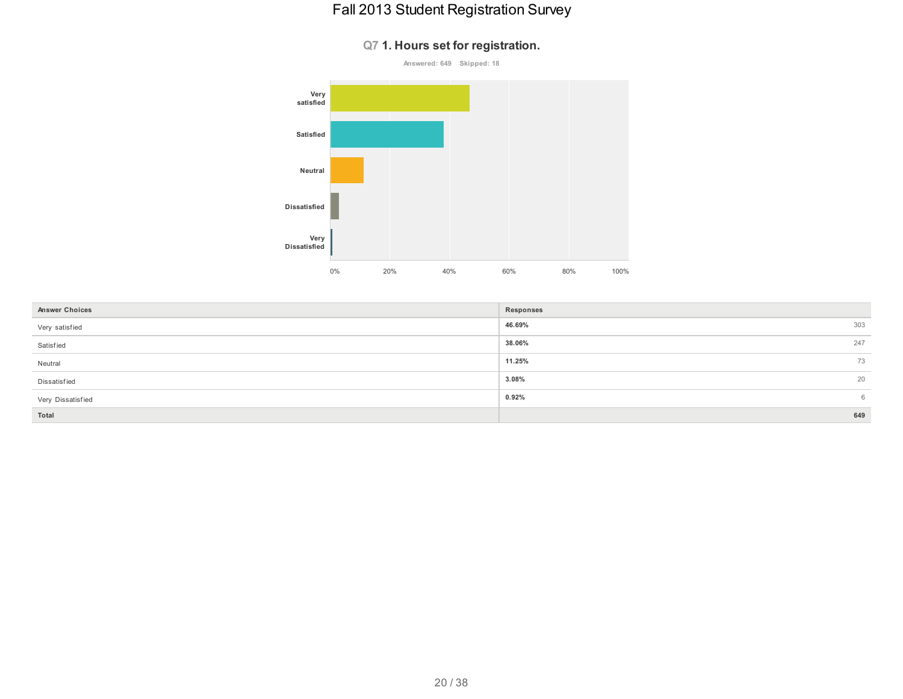#### **Q7 1. Hours set for registration.**



| <b>Answer Choices</b> | Responses |     |
|-----------------------|-----------|-----|
| Very satisfied        | 46.69%    | 303 |
| Satisfied             | 38.06%    | 247 |
| Neutral               | 11.25%    | 73  |
| Dissatisfied          | 3.08%     | 20  |
| Very Dissatisfied     | 0.92%     | 6   |
| Total                 |           | 649 |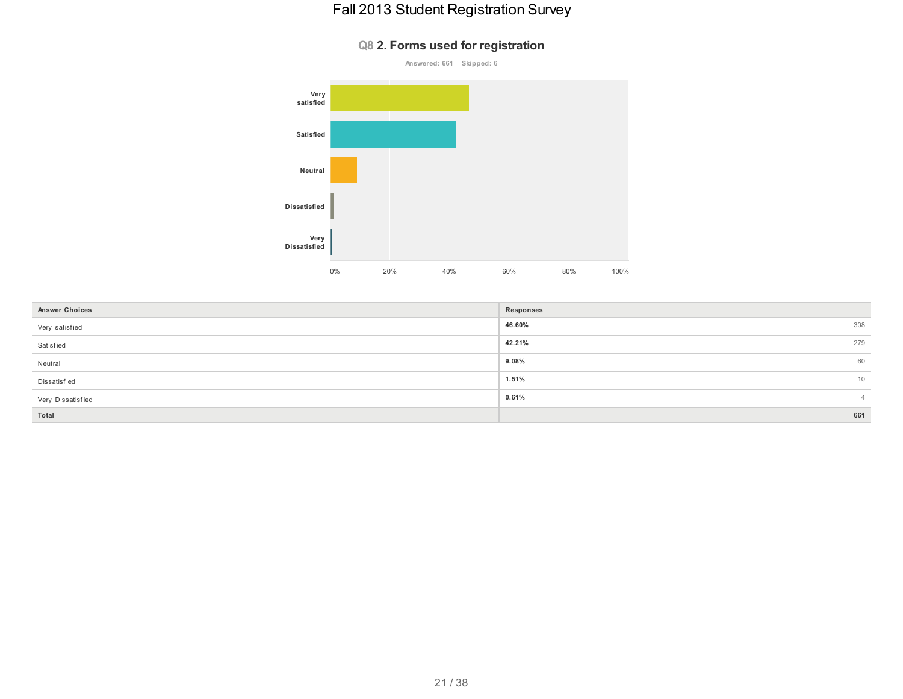# **Answered: 661 Skipped: 6 Very satisfied Satisfied Neutral Dissatisfied Very Dissatisfied** 0% 20% 40% 60% 80% 100%

| <b>Answer Choices</b> | Responses     |
|-----------------------|---------------|
| Very satisfied        | 46.60%<br>308 |
| Satisfied             | 42.21%<br>279 |
| Neutral               | 9.08%<br>60   |
| Dissatisfied          | 1.51%<br>10   |
| Very Dissatisfied     | 0.61%         |
| Total                 | 661           |

#### **Q8 2. Forms used for registration**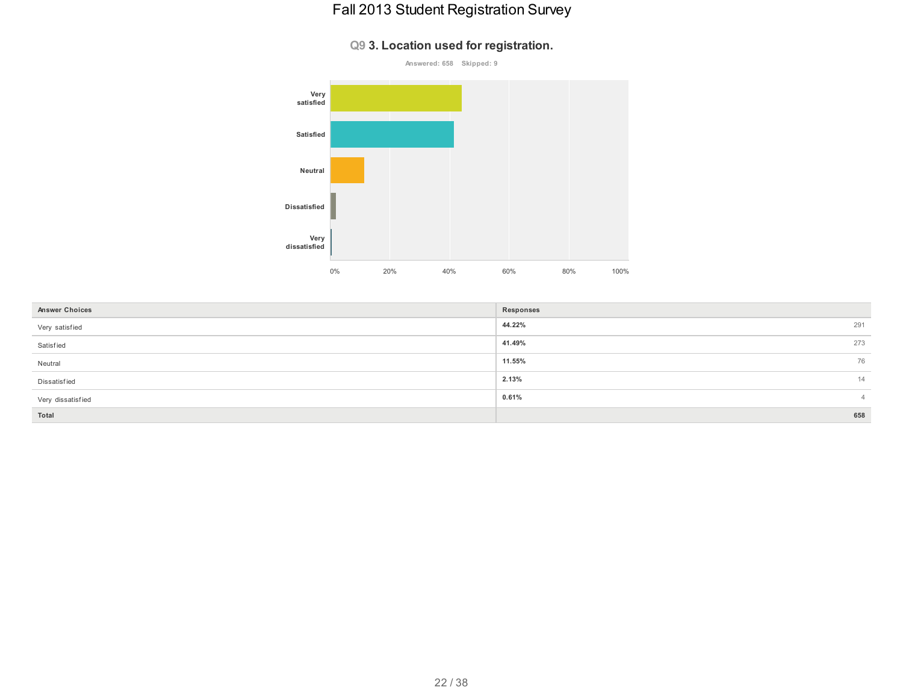#### **Q9 3. Location used for registration.**



| <b>Answer Choices</b> | Responses |          |
|-----------------------|-----------|----------|
| Very satisfied        | 44.22%    | 291      |
| Satisfied             | 41.49%    | 273      |
| Neutral               | 11.55%    | 76       |
| Dissatisfied          | 2.13%     | 14       |
| Very dissatisfied     | 0.61%     | $\Delta$ |
| Total                 |           | 658      |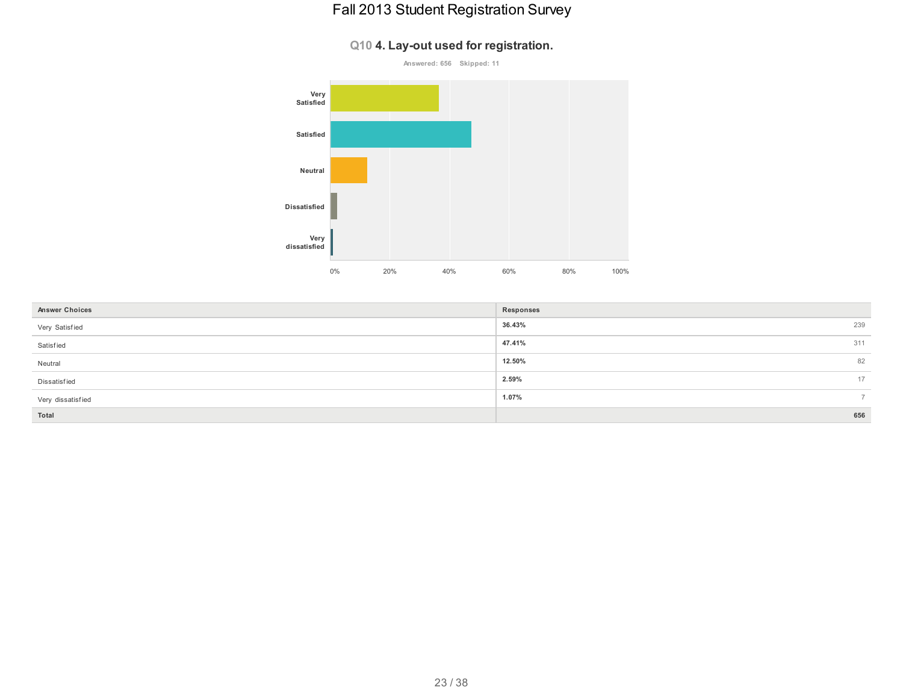#### **Q10 4. Lay-out used for registration.**



| <b>Answer Choices</b> | Responses |     |
|-----------------------|-----------|-----|
| Very Satisfied        | 36.43%    | 239 |
| Satisfied             | 47.41%    | 311 |
| Neutral               | 12.50%    | 82  |
| Dissatisfied          | 2.59%     | 17  |
| Very dissatisfied     | 1.07%     | -   |
| Total                 |           | 656 |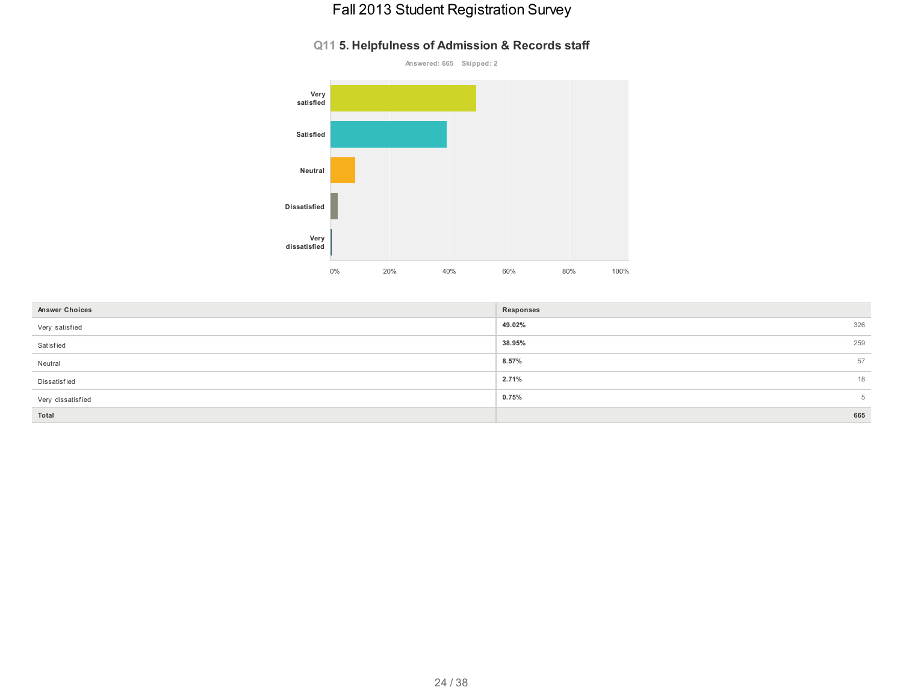#### **Q11 5. Helpfulness of Admission & Records staff**



| <b>Answer Choices</b> | Responses |     |
|-----------------------|-----------|-----|
| Very satisfied        | 49.02%    | 326 |
| Satisfied             | 38.95%    | 259 |
| Neutral               | 8.57%     | 57  |
| Dissatisfied          | 2.71%     | 18  |
| Very dissatisfied     | 0.75%     | 5   |
| Total                 |           | 665 |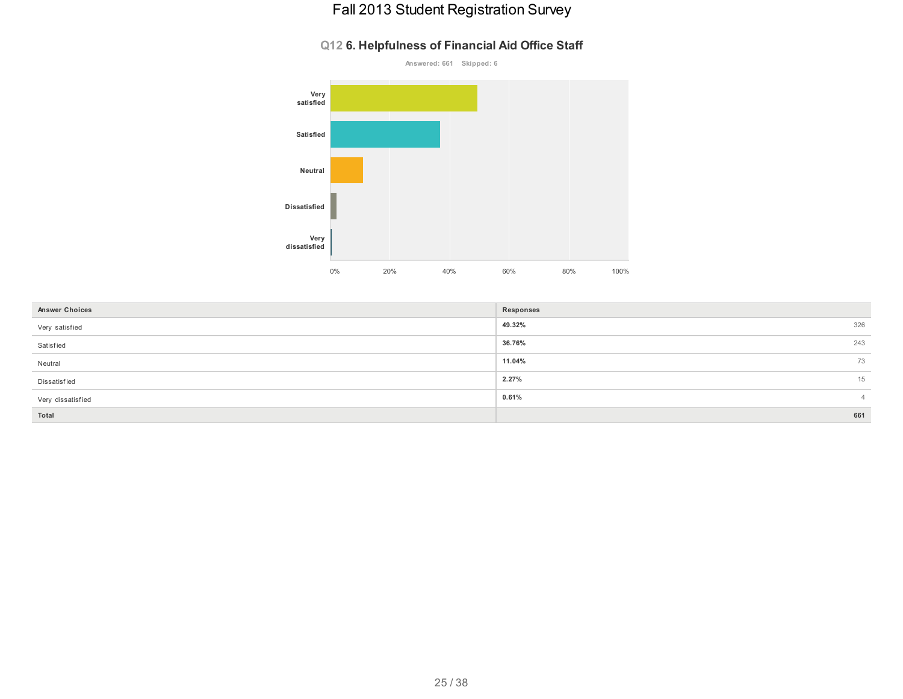#### **Q12 6. Helpfulness of Financial Aid Office Staff**



| <b>Answer Choices</b> | Responses |     |
|-----------------------|-----------|-----|
| Very satisfied        | 49.32%    | 326 |
| Satisfied             | 36.76%    | 243 |
| Neutral               | 11.04%    | 73  |
| Dissatisfied          | 2.27%     | 15  |
| Very dissatisfied     | 0.61%     |     |
| Total                 |           | 661 |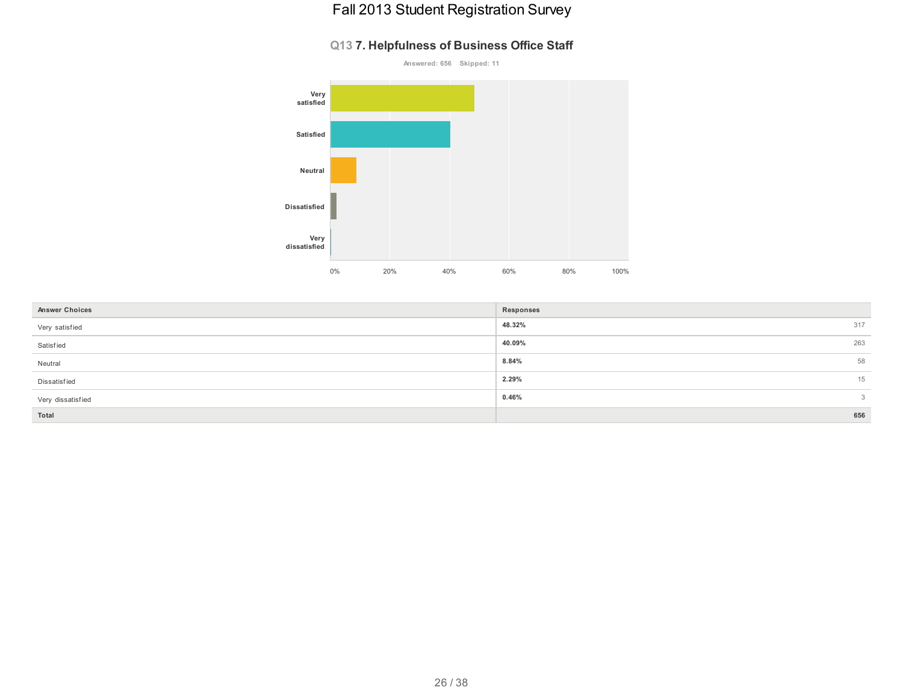#### **Q13 7. Helpfulness of Business Office Staff**



| <b>Answer Choices</b> | Responses |                 |
|-----------------------|-----------|-----------------|
| Very satisfied        | 48.32%    | 317             |
| Satisfied             | 40.09%    | 263             |
| Neutral               | 8.84%     | 58              |
| Dissatisfied          | 2.29%     | 15              |
| Very dissatisfied     | 0.46%     | $3\phantom{.0}$ |
| Total                 |           | 656             |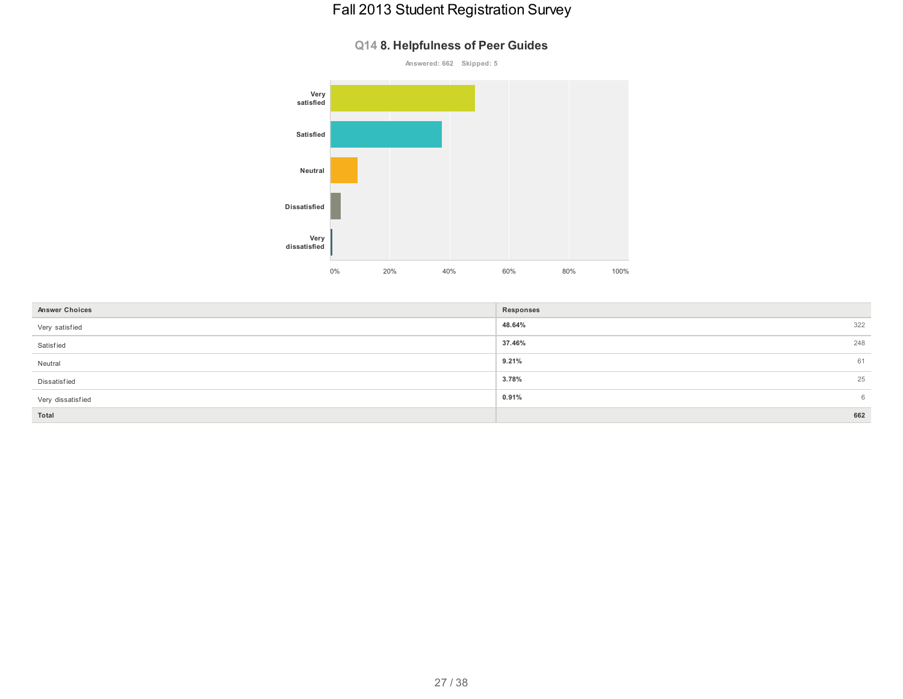#### **Q14 8. Helpfulness of Peer Guides**



| <b>Answer Choices</b> | Responses |     |
|-----------------------|-----------|-----|
| Very satisfied        | 48.64%    | 322 |
| Satisfied             | 37.46%    | 248 |
| Neutral               | 9.21%     | 61  |
| Dissatisfied          | 3.78%     | 25  |
| Very dissatisfied     | 0.91%     | 6   |
| Total                 |           | 662 |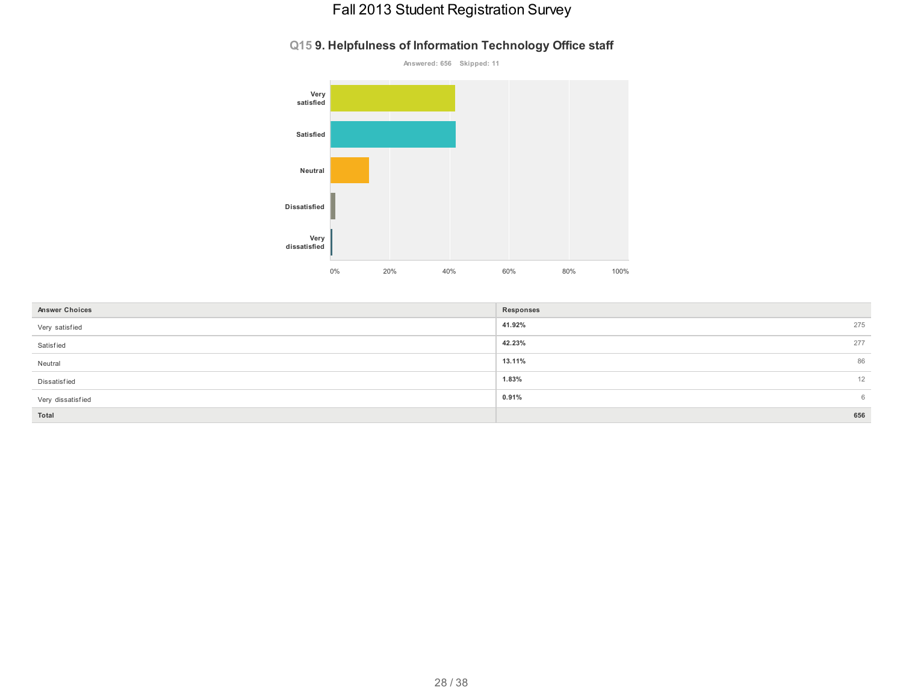#### **Q15 9. Helpfulness of Information Technology Office staff**



| <b>Answer Choices</b> | Responses |     |
|-----------------------|-----------|-----|
| Very satisfied        | 41.92%    | 275 |
| Satisfied             | 42.23%    | 277 |
| Neutral               | 13.11%    | 86  |
| Dissatisfied          | 1.83%     | 12  |
| Very dissatisfied     | 0.91%     | 6   |
| Total                 |           | 656 |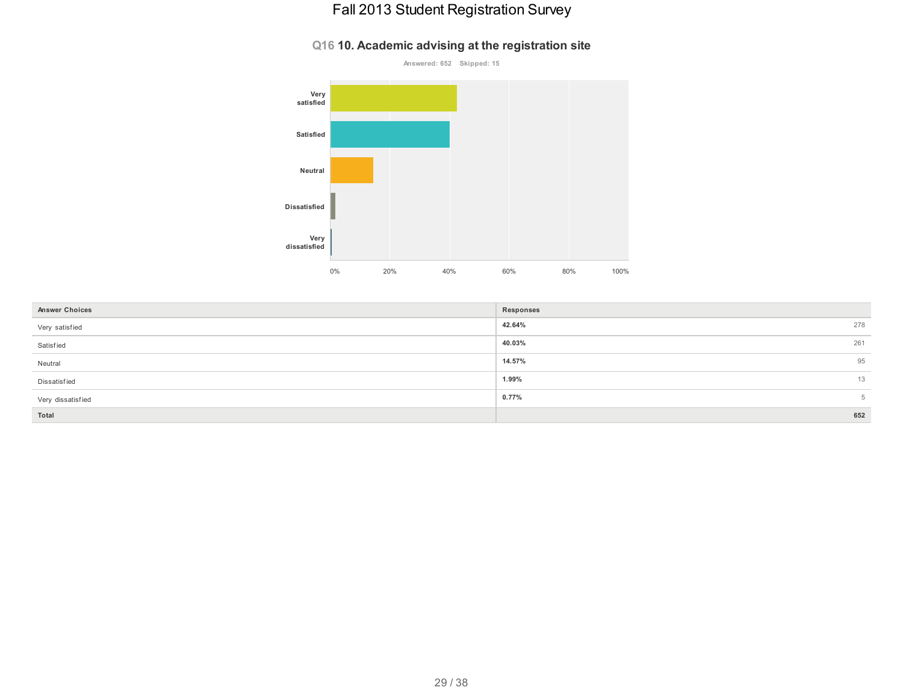#### **Q16 10. Academic advising at the registration site**



| <b>Answer Choices</b> | Responses |     |
|-----------------------|-----------|-----|
|                       |           |     |
| Very satisfied        | 42.64%    | 278 |
| Satisfied             | 40.03%    | 261 |
| Neutral               | 14.57%    | 95  |
| Dissatisfied          | 1.99%     | 13  |
| Very dissatisfied     | 0.77%     | 5   |
| Total                 |           | 652 |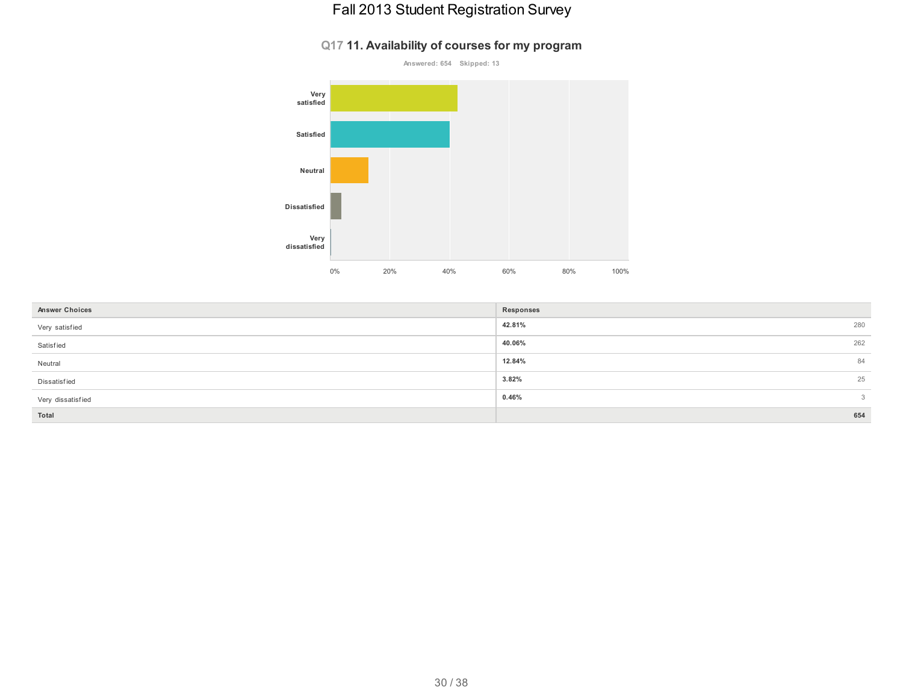#### **Q17 11. Availability of courses for my program**



| <b>Answer Choices</b> | Responses |              |
|-----------------------|-----------|--------------|
| Very satisfied        | 42.81%    | 280          |
| Satisfied             | 40.06%    | 262          |
| Neutral               | 12.84%    | 84           |
| Dissatisfied          | 3.82%     | 25           |
| Very dissatisfied     | 0.46%     | $\mathbf{3}$ |
| Total                 |           | 654          |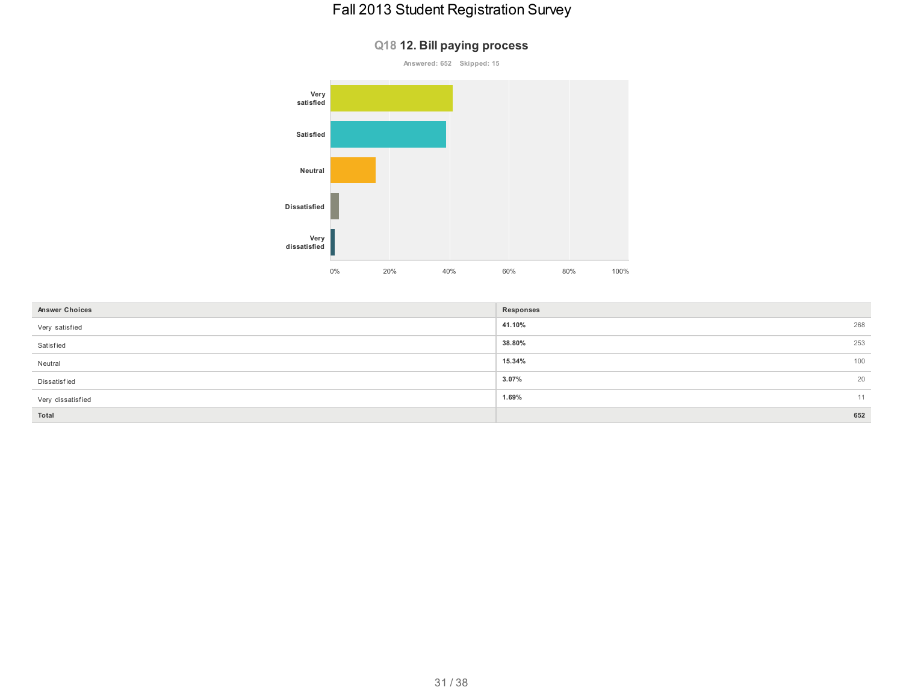**Q18 12. Bill paying process**

# **Answered: 652 Skipped: 15 Very satisfied Satisfied Neutral Dissatisfied Very dissatisfied** 0% 20% 40% 60% 80% 100%

| <b>Answer Choices</b> | Responses |     |
|-----------------------|-----------|-----|
| Very satisfied        | 41.10%    | 268 |
| Satisfied             | 38.80%    | 253 |
| Neutral               | 15.34%    | 100 |
| Dissatisfied          | $3.07\%$  | 20  |
| Very dissatisfied     | 1.69%     | 11  |
| Total                 |           | 652 |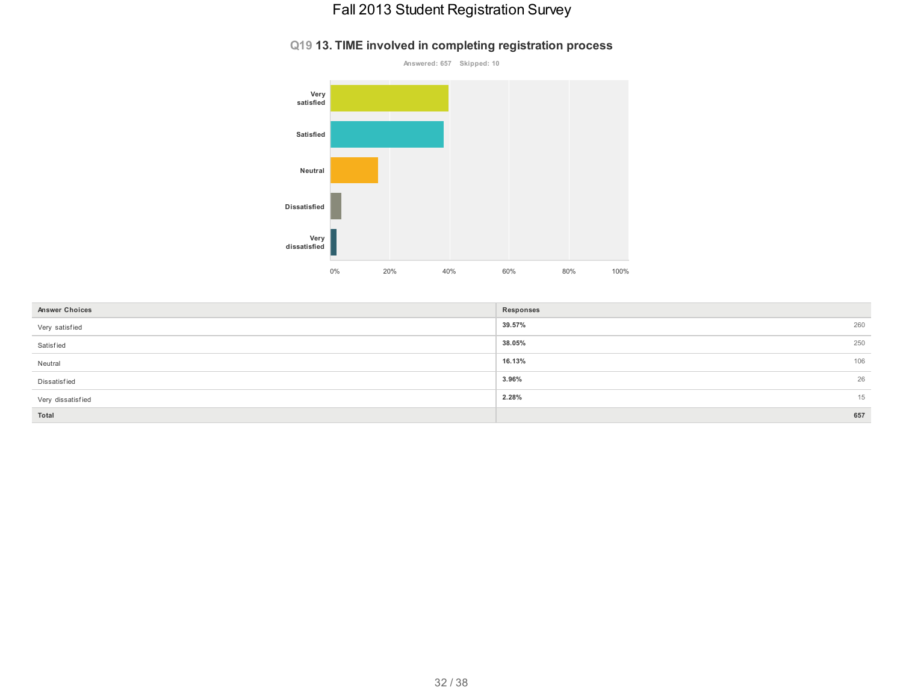#### **Q19 13. TIME involved in completing registration process**



| <b>Answer Choices</b> | Responses |     |
|-----------------------|-----------|-----|
| Very satisfied        | 39.57%    | 260 |
| Satisfied             | 38.05%    | 250 |
| Neutral               | 16.13%    | 106 |
| Dissatisfied          | 3.96%     | 26  |
| Very dissatisfied     | 2.28%     | 15  |
| Total                 |           | 657 |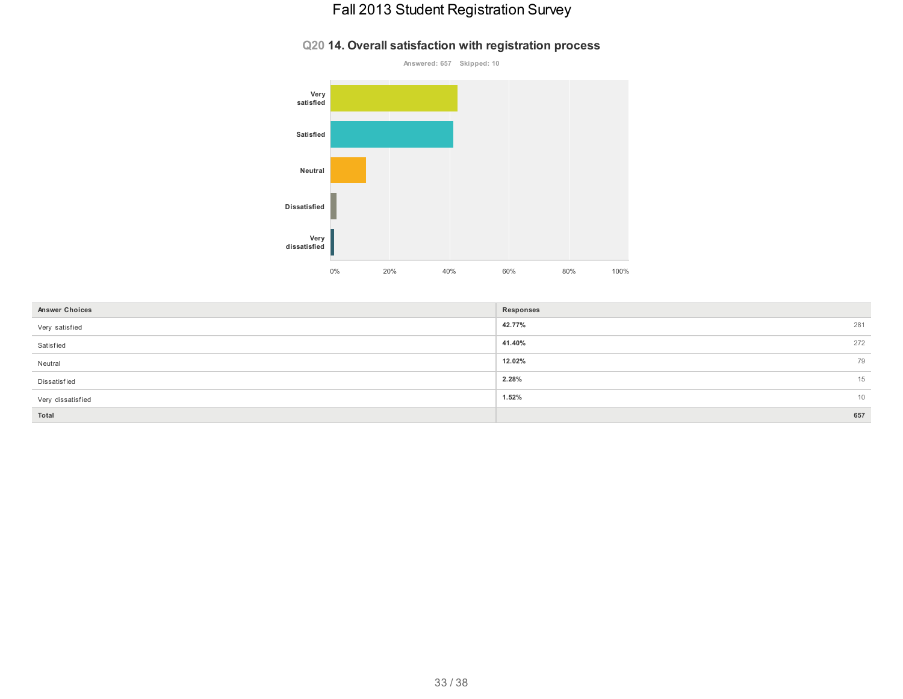#### **Q20 14. Overall satisfaction with registration process**



| <b>Answer Choices</b> | Responses |     |
|-----------------------|-----------|-----|
| Very satisfied        | 42.77%    | 281 |
| Satisfied             | 41.40%    | 272 |
| Neutral               | 12.02%    | 79  |
| Dissatisfied          | 2.28%     | 15  |
| Very dissatisfied     | 1.52%     | 10  |
| Total                 |           | 657 |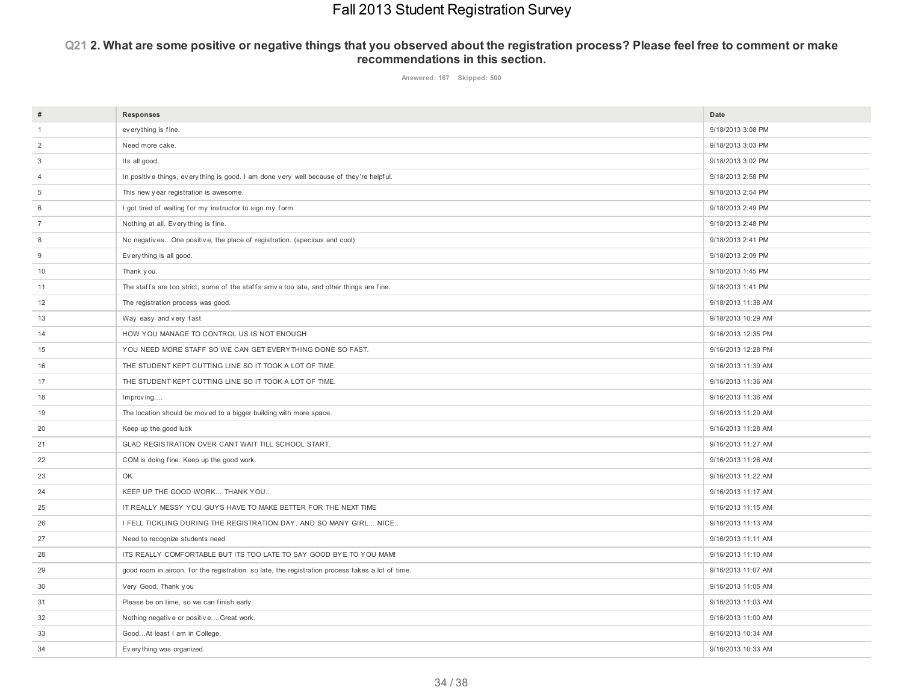#### Q21 2. What are some positive or negative things that you observed about the registration process? Please feel free to comment or make **recommendations in this section.**

**Answered: 167 Skipped: 500**

| $\#$           | Responses                                                                                         | Date               |
|----------------|---------------------------------------------------------------------------------------------------|--------------------|
| $\mathbf{1}$   | every thing is fine.                                                                              | 9/18/2013 3:08 PM  |
| $\overline{2}$ | Need more cake.                                                                                   | 9/18/2013 3:03 PM  |
| 3              | Its all good.                                                                                     | 9/18/2013 3:02 PM  |
| 4              | In positive things, everything is good. I am done very well because of they're helpful.           | 9/18/2013 2:58 PM  |
| 5              | This new year registration is awesome.                                                            | 9/18/2013 2:54 PM  |
| 6              | I got tired of waiting for my instructor to sign my form.                                         | 9/18/2013 2:49 PM  |
| $\overline{7}$ | Nothing at all. Every thing is fine.                                                              | 9/18/2013 2:48 PM  |
| 8              | No negativesOne positive, the place of registration. (specious and cool)                          | 9/18/2013 2:41 PM  |
| 9              | Everything is all good.                                                                           | 9/18/2013 2:09 PM  |
| 10             | Thank you.                                                                                        | 9/18/2013 1:45 PM  |
| 11             | The staffs are too strict, some of the staffs arrive too late, and other things are fine.         | 9/18/2013 1:41 PM  |
| 12             | The registration process was good.                                                                | 9/18/2013 11:38 AM |
| 13             | Way easy and very fast                                                                            | 9/18/2013 10:29 AM |
| 14             | HOW YOU MANAGE TO CONTROL US IS NOT ENOUGH                                                        | 9/16/2013 12:35 PM |
| 15             | YOU NEED MORE STAFF SO WE CAN GET EVERYTHING DONE SO FAST.                                        | 9/16/2013 12:28 PM |
| 16             | THE STUDENT KEPT CUTTING LINE SO IT TOOK A LOT OF TIME.                                           | 9/16/2013 11:39 AM |
| 17             | THE STUDENT KEPT CUTTING LINE SO IT TOOK A LOT OF TIME.                                           | 9/16/2013 11:36 AM |
| 18             | Improving                                                                                         | 9/16/2013 11:36 AM |
| 19             | The location should be moved to a bigger building with more space.                                | 9/16/2013 11:29 AM |
| 20             | Keep up the good luck                                                                             | 9/16/2013 11:28 AM |
| 21             | GLAD REGISTRATION OVER CANT WAIT TILL SCHOOL START.                                               | 9/16/2013 11:27 AM |
| 22             | COM is doing fine. Keep up the good work.                                                         | 9/16/2013 11:26 AM |
| 23             | OK                                                                                                | 9/16/2013 11:22 AM |
| 24             | KEEP UP THE GOOD WORK THANK YOU                                                                   | 9/16/2013 11:17 AM |
| 25             | IT REALLY MESSY YOU GUYS HAVE TO MAKE BETTER FOR THE NEXT TIME                                    | 9/16/2013 11:15 AM |
| 26             | I FELL TICKLING DURING THE REGISTRATION DAY. AND SO MANY GIRL NICE                                | 9/16/2013 11:13 AM |
| 27             | Need to recognize students need                                                                   | 9/16/2013 11:11 AM |
| 28             | ITS REALLY COMFORTABLE BUT ITS TOO LATE TO SAY GOOD BYE TO YOU MAM!                               | 9/16/2013 11:10 AM |
| 29             | good room in aircon. for the registration. so late, the registration process takes a lot of time. | 9/16/2013 11:07 AM |
| 30             | Very Good. Thank you                                                                              | 9/16/2013 11:05 AM |
| 31             | Please be on time, so we can finish early.                                                        | 9/16/2013 11:03 AM |
| 32             | Nothing negative or positiveGreat work.                                                           | 9/16/2013 11:00 AM |
| 33             | GoodAt least I am in College.                                                                     | 9/16/2013 10:34 AM |
| 34             | Ev ery thing was organized.                                                                       | 9/16/2013 10:33 AM |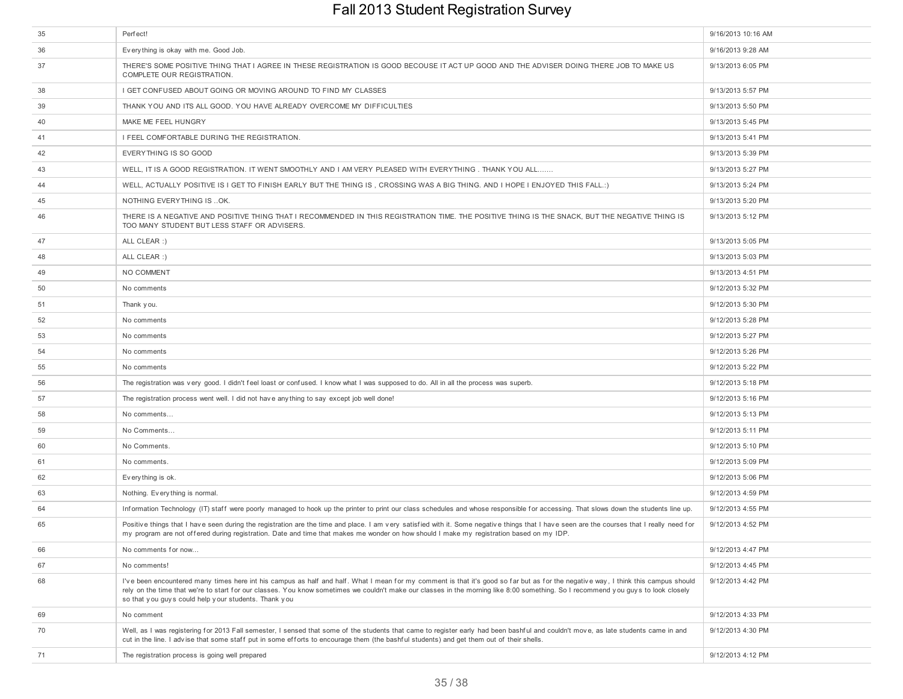| 35 | Perfect!                                                                                                                                                                                                                                                                                                                                                                                                                        | 9/16/2013 10:16 AM |
|----|---------------------------------------------------------------------------------------------------------------------------------------------------------------------------------------------------------------------------------------------------------------------------------------------------------------------------------------------------------------------------------------------------------------------------------|--------------------|
| 36 | Everything is okay with me. Good Job.                                                                                                                                                                                                                                                                                                                                                                                           | 9/16/2013 9:28 AM  |
| 37 | THERE'S SOME POSITIVE THING THAT I AGREE IN THESE REGISTRATION IS GOOD BECOUSE IT ACT UP GOOD AND THE ADVISER DOING THERE JOB TO MAKE US<br>COMPLETE OUR REGISTRATION.                                                                                                                                                                                                                                                          | 9/13/2013 6:05 PM  |
| 38 | I GET CONFUSED ABOUT GOING OR MOVING AROUND TO FIND MY CLASSES                                                                                                                                                                                                                                                                                                                                                                  | 9/13/2013 5:57 PM  |
| 39 | THANK YOU AND ITS ALL GOOD. YOU HAVE ALREADY OVERCOME MY DIFFICULTIES                                                                                                                                                                                                                                                                                                                                                           | 9/13/2013 5:50 PM  |
| 40 | MAKE ME FEEL HUNGRY                                                                                                                                                                                                                                                                                                                                                                                                             | 9/13/2013 5:45 PM  |
| 41 | I FEEL COMFORTABLE DURING THE REGISTRATION.                                                                                                                                                                                                                                                                                                                                                                                     | 9/13/2013 5:41 PM  |
| 42 | EVERYTHING IS SO GOOD                                                                                                                                                                                                                                                                                                                                                                                                           | 9/13/2013 5:39 PM  |
| 43 | WELL, IT IS A GOOD REGISTRATION. IT WENT SMOOTHLY AND I AM VERY PLEASED WITH EVERYTHING. THANK YOU ALL                                                                                                                                                                                                                                                                                                                          | 9/13/2013 5:27 PM  |
| 44 | WELL, ACTUALLY POSITIVE IS I GET TO FINISH EARLY BUT THE THING IS, CROSSING WAS A BIG THING. AND I HOPE I ENJOYED THIS FALL.:)                                                                                                                                                                                                                                                                                                  | 9/13/2013 5:24 PM  |
| 45 | NOTHING EVERYTHING IS  OK.                                                                                                                                                                                                                                                                                                                                                                                                      | 9/13/2013 5:20 PM  |
| 46 | THERE IS A NEGATIVE AND POSITIVE THING THAT I RECOMMENDED IN THIS REGISTRATION TIME. THE POSITIVE THING IS THE SNACK, BUT THE NEGATIVE THING IS<br>TOO MANY STUDENT BUT LESS STAFF OR ADVISERS.                                                                                                                                                                                                                                 | 9/13/2013 5:12 PM  |
| 47 | ALL CLEAR :)                                                                                                                                                                                                                                                                                                                                                                                                                    | 9/13/2013 5:05 PM  |
| 48 | ALL CLEAR :)                                                                                                                                                                                                                                                                                                                                                                                                                    | 9/13/2013 5:03 PM  |
| 49 | NO COMMENT                                                                                                                                                                                                                                                                                                                                                                                                                      | 9/13/2013 4:51 PM  |
| 50 | No comments                                                                                                                                                                                                                                                                                                                                                                                                                     | 9/12/2013 5:32 PM  |
| 51 | Thank you.                                                                                                                                                                                                                                                                                                                                                                                                                      | 9/12/2013 5:30 PM  |
| 52 | No comments                                                                                                                                                                                                                                                                                                                                                                                                                     | 9/12/2013 5:28 PM  |
| 53 | No comments                                                                                                                                                                                                                                                                                                                                                                                                                     | 9/12/2013 5:27 PM  |
| 54 | No comments                                                                                                                                                                                                                                                                                                                                                                                                                     | 9/12/2013 5:26 PM  |
| 55 | No comments                                                                                                                                                                                                                                                                                                                                                                                                                     | 9/12/2013 5:22 PM  |
| 56 | The registration was very good. I didn't feel loast or confused. I know what I was supposed to do. All in all the process was superb.                                                                                                                                                                                                                                                                                           | 9/12/2013 5:18 PM  |
| 57 | The registration process went well. I did not have any thing to say except job well done!                                                                                                                                                                                                                                                                                                                                       | 9/12/2013 5:16 PM  |
| 58 | No comments                                                                                                                                                                                                                                                                                                                                                                                                                     | 9/12/2013 5:13 PM  |
| 59 | No Comments                                                                                                                                                                                                                                                                                                                                                                                                                     | 9/12/2013 5:11 PM  |
| 60 | No Comments.                                                                                                                                                                                                                                                                                                                                                                                                                    | 9/12/2013 5:10 PM  |
| 61 | No comments.                                                                                                                                                                                                                                                                                                                                                                                                                    | 9/12/2013 5:09 PM  |
| 62 | Everything is ok.                                                                                                                                                                                                                                                                                                                                                                                                               | 9/12/2013 5:06 PM  |
| 63 | Nothing. Everything is normal.                                                                                                                                                                                                                                                                                                                                                                                                  | 9/12/2013 4:59 PM  |
| 64 | Information Technology (IT) staff were poorly managed to hook up the printer to print our class schedules and whose responsible for accessing. That slows down the students line up.                                                                                                                                                                                                                                            | 9/12/2013 4:55 PM  |
| 65 | Positive things that I have seen during the registration are the time and place. I am very satisfied with it. Some negative things that I have seen are the courses that I really need for<br>my program are not offered during registration. Date and time that makes me wonder on how should I make my registration based on my IDP.                                                                                          | 9/12/2013 4:52 PM  |
| 66 | No comments for now                                                                                                                                                                                                                                                                                                                                                                                                             | 9/12/2013 4:47 PM  |
| 67 | No comments!                                                                                                                                                                                                                                                                                                                                                                                                                    | 9/12/2013 4:45 PM  |
| 68 | I've been encountered many times here int his campus as half and half. What I mean for my comment is that it's good so far but as for the negative way, I think this campus should<br>rely on the time that we're to start for our classes. You know sometimes we couldn't make our classes in the morning like 8:00 something. So I recommend you guys to look closely<br>so that you guys could help your students. Thank you | 9/12/2013 4:42 PM  |
| 69 | No comment                                                                                                                                                                                                                                                                                                                                                                                                                      | 9/12/2013 4:33 PM  |
| 70 | Well, as I was registering for 2013 Fall semester, I sensed that some of the students that came to register early had been bashful and couldn't move, as late students came in and<br>cut in the line. I advise that some staff put in some efforts to encourage them (the bashful students) and get them out of their shells.                                                                                                  | 9/12/2013 4:30 PM  |
| 71 | The registration process is going well prepared                                                                                                                                                                                                                                                                                                                                                                                 | 9/12/2013 4:12 PM  |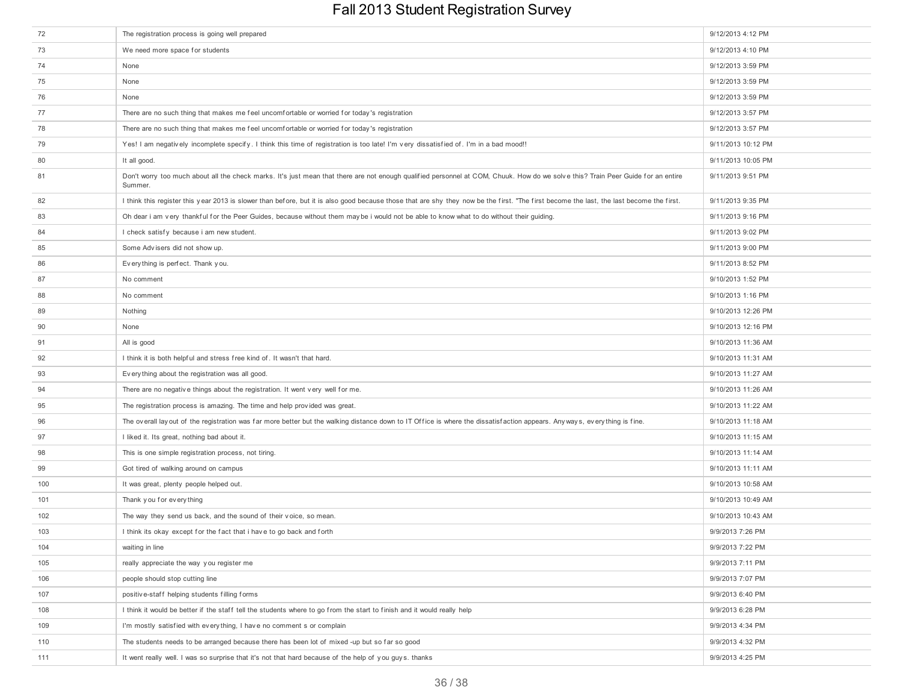| 72  | The registration process is going well prepared                                                                                                                                             | 9/12/2013 4:12 PM  |
|-----|---------------------------------------------------------------------------------------------------------------------------------------------------------------------------------------------|--------------------|
| 73  | We need more space for students                                                                                                                                                             | 9/12/2013 4:10 PM  |
| 74  | None                                                                                                                                                                                        | 9/12/2013 3:59 PM  |
| 75  | None                                                                                                                                                                                        | 9/12/2013 3:59 PM  |
| 76  | None                                                                                                                                                                                        | 9/12/2013 3:59 PM  |
| 77  | There are no such thing that makes me feel uncomfortable or worried for today's registration                                                                                                | 9/12/2013 3:57 PM  |
| 78  | There are no such thing that makes me feel uncomfortable or worried for today's registration                                                                                                | 9/12/2013 3:57 PM  |
| 79  | Yes! I am negatively incomplete specify. I think this time of registration is too late! I'm very dissatisfied of. I'm in a bad mood!!                                                       | 9/11/2013 10:12 PM |
| 80  | It all good.                                                                                                                                                                                | 9/11/2013 10:05 PM |
| 81  | Don't worry too much about all the check marks. It's just mean that there are not enough qualified personnel at COM, Chuuk. How do we solve this? Train Peer Guide for an entire<br>Summer. | 9/11/2013 9:51 PM  |
| 82  | I think this register this year 2013 is slower than before, but it is also good because those that are shy they now be the first. "The first become the last, the last become the first.    | 9/11/2013 9:35 PM  |
| 83  | Oh dear i am very thankful for the Peer Guides, because without them maybe i would not be able to know what to do without their guiding.                                                    | 9/11/2013 9:16 PM  |
| 84  | I check satisfy because i am new student.                                                                                                                                                   | 9/11/2013 9:02 PM  |
| 85  | Some Advisers did not show up.                                                                                                                                                              | 9/11/2013 9:00 PM  |
| 86  | Everything is perfect. Thank you.                                                                                                                                                           | 9/11/2013 8:52 PM  |
| 87  | No comment                                                                                                                                                                                  | 9/10/2013 1:52 PM  |
| 88  | No comment                                                                                                                                                                                  | 9/10/2013 1:16 PM  |
| 89  | Nothing                                                                                                                                                                                     | 9/10/2013 12:26 PM |
| 90  | None                                                                                                                                                                                        | 9/10/2013 12:16 PM |
| 91  | All is good                                                                                                                                                                                 | 9/10/2013 11:36 AM |
| 92  | I think it is both helpful and stress free kind of. It wasn't that hard.                                                                                                                    | 9/10/2013 11:31 AM |
| 93  | Every thing about the registration was all good.                                                                                                                                            | 9/10/2013 11:27 AM |
| 94  | There are no negative things about the registration. It went very well for me.                                                                                                              | 9/10/2013 11:26 AM |
| 95  | The registration process is amazing. The time and help provided was great.                                                                                                                  | 9/10/2013 11:22 AM |
| 96  | The overall lay out of the registration was far more better but the walking distance down to IT Office is where the dissatisfaction appears. Any ways, every thing is fine.                 | 9/10/2013 11:18 AM |
| 97  | I liked it. Its great, nothing bad about it.                                                                                                                                                | 9/10/2013 11:15 AM |
| 98  | This is one simple registration process, not tiring.                                                                                                                                        | 9/10/2013 11:14 AM |
| 99  | Got tired of walking around on campus                                                                                                                                                       | 9/10/2013 11:11 AM |
| 100 | It was great, plenty people helped out.                                                                                                                                                     | 9/10/2013 10:58 AM |
| 101 | Thank you for every thing                                                                                                                                                                   | 9/10/2013 10:49 AM |
| 102 | The way they send us back, and the sound of their voice, so mean.                                                                                                                           | 9/10/2013 10:43 AM |
| 103 | I think its okay except for the fact that i have to go back and forth                                                                                                                       | 9/9/2013 7:26 PM   |
| 104 | waiting in line                                                                                                                                                                             | 9/9/2013 7:22 PM   |
| 105 | really appreciate the way you register me                                                                                                                                                   | 9/9/2013 7:11 PM   |
| 106 | people should stop cutting line                                                                                                                                                             | 9/9/2013 7:07 PM   |
| 107 | positive-staff helping students filling forms                                                                                                                                               | 9/9/2013 6:40 PM   |
| 108 | I think it would be better if the staff tell the students where to go from the start to finish and it would really help                                                                     | 9/9/2013 6:28 PM   |
| 109 | I'm mostly satisfied with everything, I have no comment s or complain                                                                                                                       | 9/9/2013 4:34 PM   |
| 110 | The students needs to be arranged because there has been lot of mixed -up but so far so good                                                                                                | 9/9/2013 4:32 PM   |
| 111 | It went really well. I was so surprise that it's not that hard because of the help of you guys. thanks                                                                                      | 9/9/2013 4:25 PM   |
|     |                                                                                                                                                                                             |                    |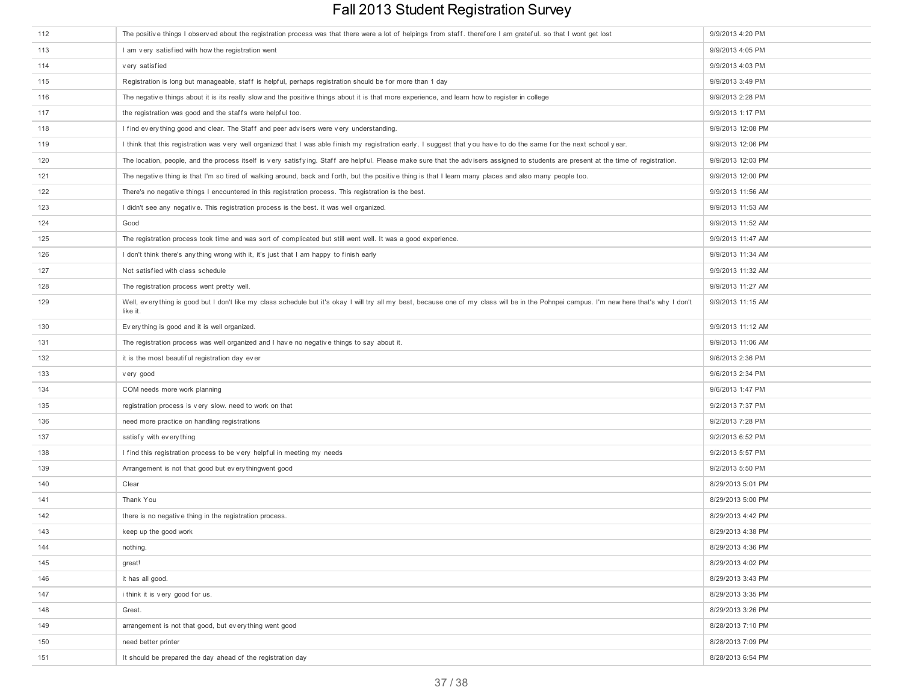| 112 | The positive things I observed about the registration process was that there were a lot of helpings from staff. therefore I am grateful. so that I wont get lost                                     | 9/9/2013 4:20 PM  |
|-----|------------------------------------------------------------------------------------------------------------------------------------------------------------------------------------------------------|-------------------|
| 113 | I am very satisfied with how the registration went                                                                                                                                                   | 9/9/2013 4:05 PM  |
| 114 | very satisfied                                                                                                                                                                                       | 9/9/2013 4:03 PM  |
| 115 | Registration is long but manageable, staff is helpful, perhaps registration should be for more than 1 day                                                                                            | 9/9/2013 3:49 PM  |
| 116 | The negative things about it is its really slow and the positive things about it is that more experience, and learn how to register in college                                                       | 9/9/2013 2:28 PM  |
| 117 | the registration was good and the staffs were helpful too.                                                                                                                                           | 9/9/2013 1:17 PM  |
| 118 | I find every thing good and clear. The Staff and peer advisers were very understanding.                                                                                                              | 9/9/2013 12:08 PM |
| 119 | I think that this registration was very well organized that I was able finish my registration early. I suggest that you have to do the same for the next school year.                                | 9/9/2013 12:06 PM |
| 120 | The location, people, and the process itself is very satisfying. Staff are helpful. Please make sure that the advisers assigned to students are present at the time of registration.                 | 9/9/2013 12:03 PM |
| 121 | The negative thing is that I'm so tired of walking around, back and forth, but the positive thing is that I learn many places and also many people too.                                              | 9/9/2013 12:00 PM |
| 122 | There's no negative things I encountered in this registration process. This registration is the best.                                                                                                | 9/9/2013 11:56 AM |
| 123 | I didn't see any negative. This registration process is the best. it was well organized.                                                                                                             | 9/9/2013 11:53 AM |
| 124 | Good                                                                                                                                                                                                 | 9/9/2013 11:52 AM |
| 125 | The registration process took time and was sort of complicated but still went well. It was a good experience.                                                                                        | 9/9/2013 11:47 AM |
| 126 | I don't think there's any thing wrong with it, it's just that I am happy to finish early                                                                                                             | 9/9/2013 11:34 AM |
| 127 | Not satisfied with class schedule                                                                                                                                                                    | 9/9/2013 11:32 AM |
| 128 | The registration process went pretty well.                                                                                                                                                           | 9/9/2013 11:27 AM |
| 129 | Well, everything is good but I don't like my class schedule but it's okay I will try all my best, because one of my class will be in the Pohnpei campus. I'm new here that's why I don't<br>like it. | 9/9/2013 11:15 AM |
| 130 | Every thing is good and it is well organized.                                                                                                                                                        | 9/9/2013 11:12 AM |
| 131 | The registration process was well organized and I have no negative things to say about it.                                                                                                           | 9/9/2013 11:06 AM |
| 132 | it is the most beautiful registration day ever                                                                                                                                                       | 9/6/2013 2:36 PM  |
| 133 | very good                                                                                                                                                                                            | 9/6/2013 2:34 PM  |
| 134 | COM needs more work planning                                                                                                                                                                         | 9/6/2013 1:47 PM  |
| 135 | registration process is very slow. need to work on that                                                                                                                                              | 9/2/2013 7:37 PM  |
| 136 | need more practice on handling registrations                                                                                                                                                         | 9/2/2013 7:28 PM  |
| 137 | satisfy with every thing                                                                                                                                                                             | 9/2/2013 6:52 PM  |
| 138 | I find this registration process to be very helpful in meeting my needs                                                                                                                              | 9/2/2013 5:57 PM  |
| 139 | Arrangement is not that good but every thingwent good                                                                                                                                                | 9/2/2013 5:50 PM  |
| 140 | Clear                                                                                                                                                                                                | 8/29/2013 5:01 PM |
| 141 | Thank You                                                                                                                                                                                            | 8/29/2013 5:00 PM |
| 142 | there is no negative thing in the registration process.                                                                                                                                              | 8/29/2013 4:42 PM |
| 143 | keep up the good work                                                                                                                                                                                | 8/29/2013 4:38 PM |
| 144 | nothing.                                                                                                                                                                                             | 8/29/2013 4:36 PM |
| 145 | great!                                                                                                                                                                                               | 8/29/2013 4:02 PM |
| 146 | it has all good.                                                                                                                                                                                     | 8/29/2013 3:43 PM |
| 147 | i think it is very good for us.                                                                                                                                                                      | 8/29/2013 3:35 PM |
| 148 | Great.                                                                                                                                                                                               | 8/29/2013 3:26 PM |
| 149 | arrangement is not that good, but every thing went good                                                                                                                                              | 8/28/2013 7:10 PM |
| 150 | need better printer                                                                                                                                                                                  | 8/28/2013 7:09 PM |
| 151 | It should be prepared the day ahead of the registration day                                                                                                                                          | 8/28/2013 6:54 PM |
|     |                                                                                                                                                                                                      |                   |